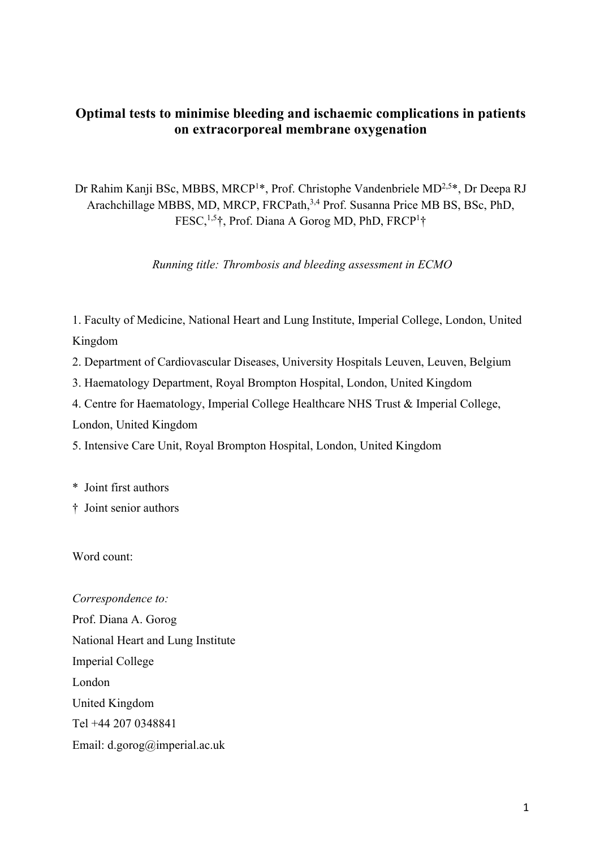# **Optimal tests to minimise bleeding and ischaemic complications in patients on extracorporeal membrane oxygenation**

Dr Rahim Kanji BSc, MBBS, MRCP<sup>1\*</sup>, Prof. Christophe Vandenbriele MD<sup>2,5\*</sup>, Dr Deepa RJ Arachchillage MBBS, MD, MRCP, FRCPath,<sup>3,4</sup> Prof. Susanna Price MB BS, BSc, PhD, FESC,<sup>1,5</sup>†, Prof. Diana A Gorog MD, PhD, FRCP<sup>1</sup>†

*Running title: Thrombosis and bleeding assessment in ECMO*

1. Faculty of Medicine, National Heart and Lung Institute, Imperial College, London, United Kingdom

2. Department of Cardiovascular Diseases, University Hospitals Leuven, Leuven, Belgium

3. Haematology Department, Royal Brompton Hospital, London, United Kingdom

4. Centre for Haematology, Imperial College Healthcare NHS Trust & Imperial College,

London, United Kingdom

5. Intensive Care Unit, Royal Brompton Hospital, London, United Kingdom

\* Joint first authors

† Joint senior authors

Word count:

*Correspondence to:* Prof. Diana A. Gorog National Heart and Lung Institute Imperial College London United Kingdom Tel +44 207 0348841 Email: d.gorog@imperial.ac.uk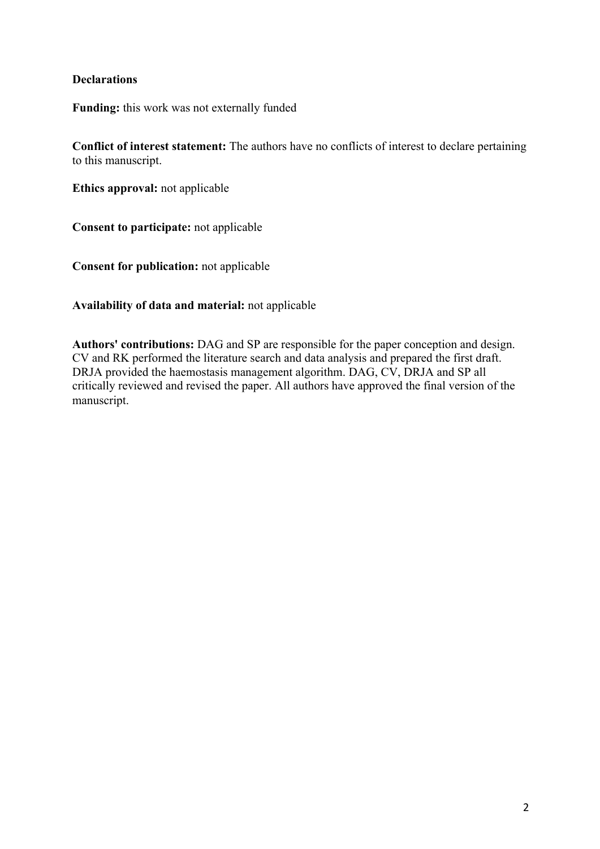# **Declarations**

**Funding:** this work was not externally funded

**Conflict of interest statement:** The authors have no conflicts of interest to declare pertaining to this manuscript.

**Ethics approval:** not applicable

**Consent to participate:** not applicable

**Consent for publication:** not applicable

**Availability of data and material:** not applicable

**Authors' contributions:** DAG and SP are responsible for the paper conception and design. CV and RK performed the literature search and data analysis and prepared the first draft. DRJA provided the haemostasis management algorithm. DAG, CV, DRJA and SP all critically reviewed and revised the paper. All authors have approved the final version of the manuscript.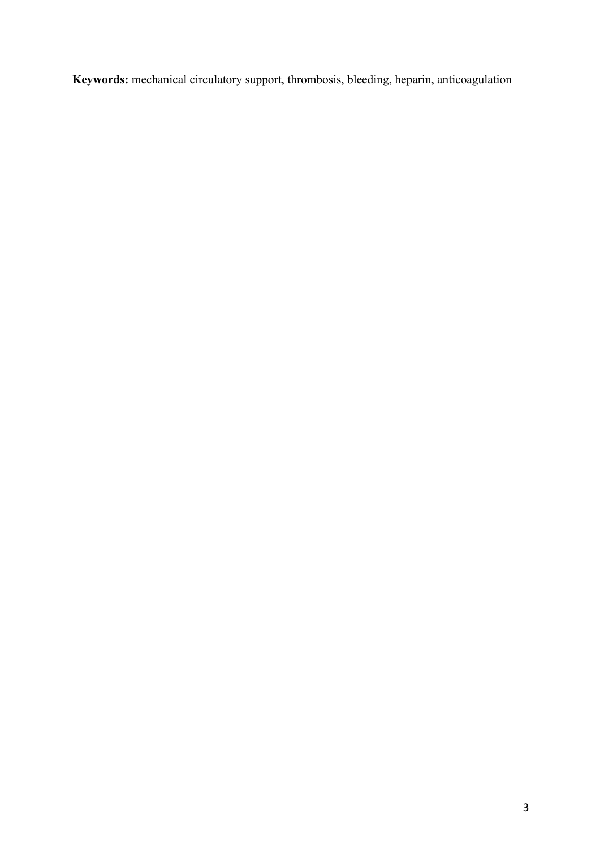**Keywords:** mechanical circulatory support, thrombosis, bleeding, heparin, anticoagulation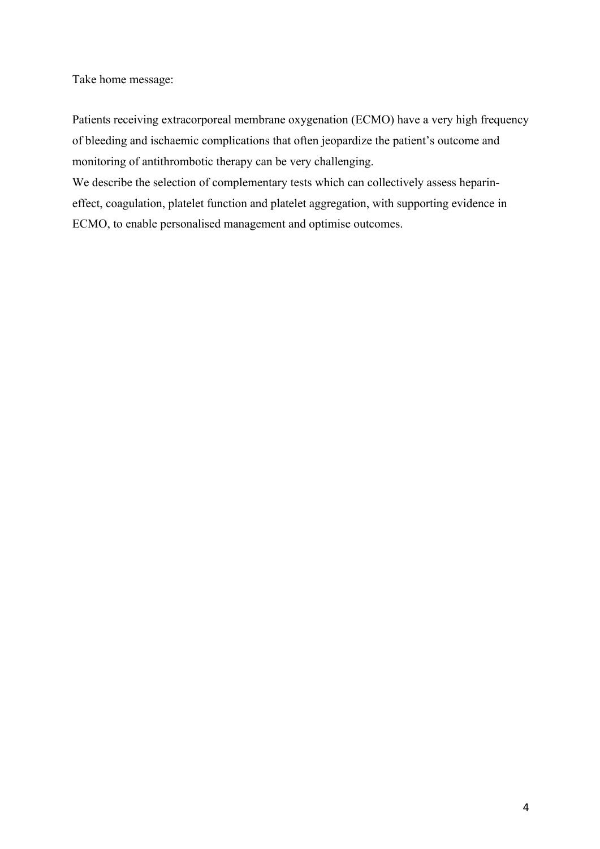Take home message:

Patients receiving extracorporeal membrane oxygenation (ECMO) have a very high frequency of bleeding and ischaemic complications that often jeopardize the patient's outcome and monitoring of antithrombotic therapy can be very challenging.

We describe the selection of complementary tests which can collectively assess heparineffect, coagulation, platelet function and platelet aggregation, with supporting evidence in ECMO, to enable personalised management and optimise outcomes.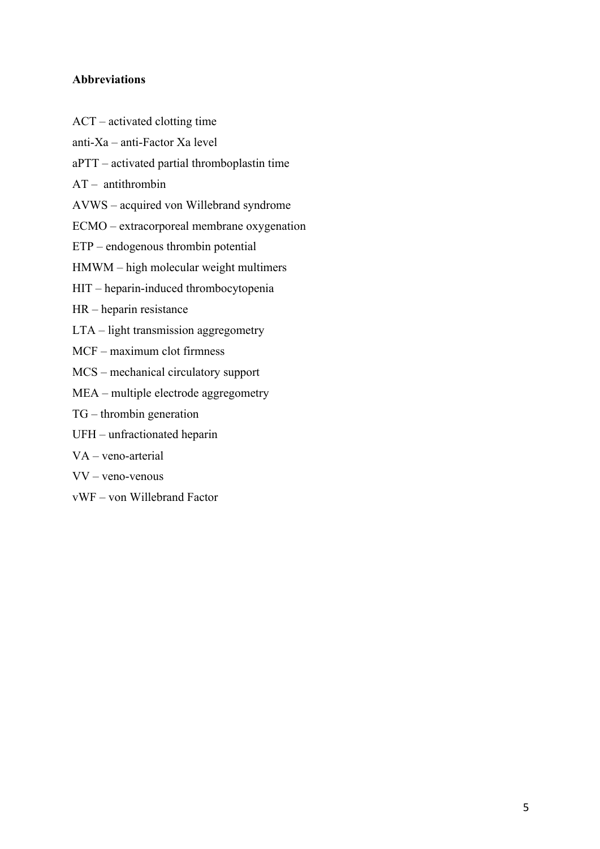# **Abbreviations**

- ACT activated clotting time
- anti-Xa anti-Factor Xa level
- aPTT activated partial thromboplastin time
- AT antithrombin
- AVWS acquired von Willebrand syndrome
- ECMO extracorporeal membrane oxygenation
- ETP endogenous thrombin potential
- HMWM high molecular weight multimers
- HIT heparin-induced thrombocytopenia
- HR heparin resistance
- LTA light transmission aggregometry
- MCF maximum clot firmness
- MCS mechanical circulatory support
- MEA multiple electrode aggregometry
- TG thrombin generation
- UFH unfractionated heparin
- VA veno-arterial
- VV veno-venous
- vWF von Willebrand Factor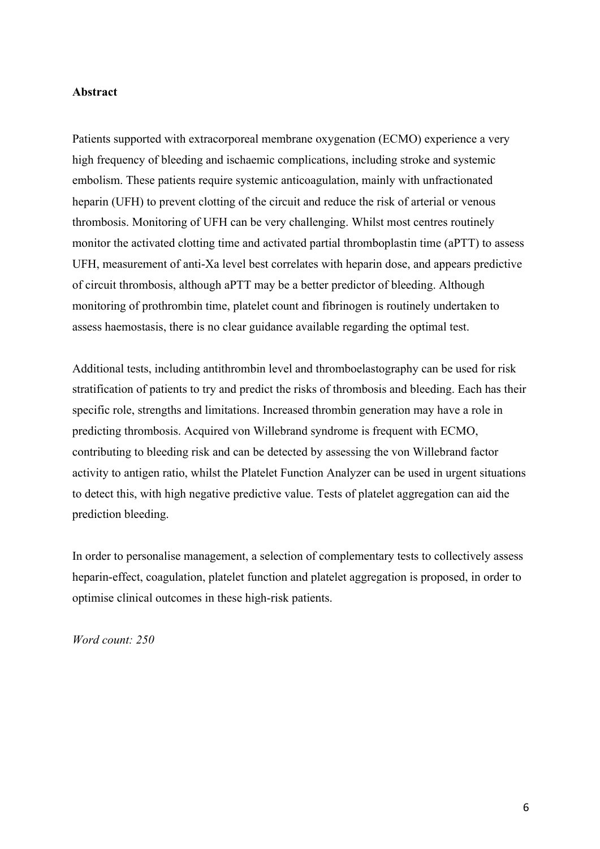#### **Abstract**

Patients supported with extracorporeal membrane oxygenation (ECMO) experience a very high frequency of bleeding and ischaemic complications, including stroke and systemic embolism. These patients require systemic anticoagulation, mainly with unfractionated heparin (UFH) to prevent clotting of the circuit and reduce the risk of arterial or venous thrombosis. Monitoring of UFH can be very challenging. Whilst most centres routinely monitor the activated clotting time and activated partial thromboplastin time (aPTT) to assess UFH, measurement of anti-Xa level best correlates with heparin dose, and appears predictive of circuit thrombosis, although aPTT may be a better predictor of bleeding. Although monitoring of prothrombin time, platelet count and fibrinogen is routinely undertaken to assess haemostasis, there is no clear guidance available regarding the optimal test.

Additional tests, including antithrombin level and thromboelastography can be used for risk stratification of patients to try and predict the risks of thrombosis and bleeding. Each has their specific role, strengths and limitations. Increased thrombin generation may have a role in predicting thrombosis. Acquired von Willebrand syndrome is frequent with ECMO, contributing to bleeding risk and can be detected by assessing the von Willebrand factor activity to antigen ratio, whilst the Platelet Function Analyzer can be used in urgent situations to detect this, with high negative predictive value. Tests of platelet aggregation can aid the prediction bleeding.

In order to personalise management, a selection of complementary tests to collectively assess heparin-effect, coagulation, platelet function and platelet aggregation is proposed, in order to optimise clinical outcomes in these high-risk patients.

*Word count: 250*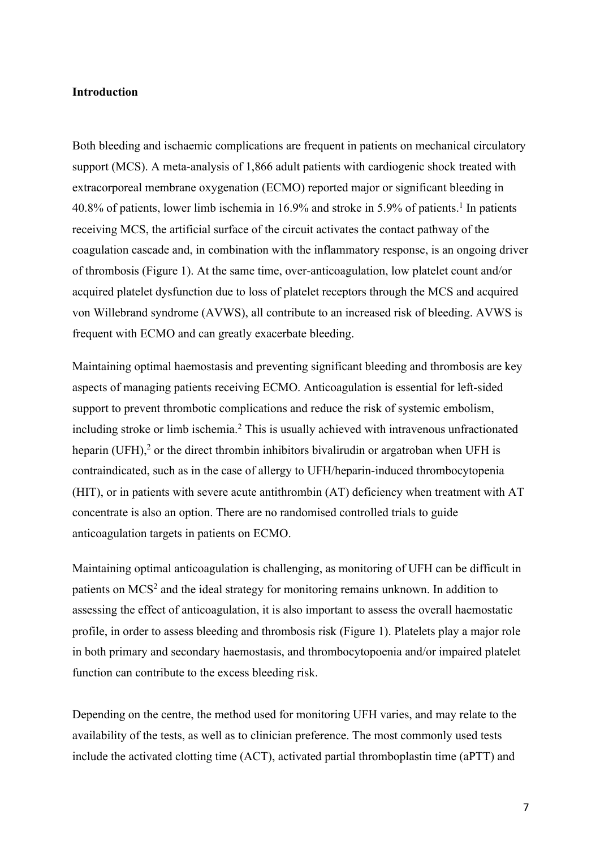### **Introduction**

Both bleeding and ischaemic complications are frequent in patients on mechanical circulatory support (MCS). A meta-analysis of 1,866 adult patients with cardiogenic shock treated with extracorporeal membrane oxygenation (ECMO) reported major or significant bleeding in  $40.8\%$  of patients, lower limb ischemia in 16.9% and stroke in 5.9% of patients.<sup>1</sup> In patients receiving MCS, the artificial surface of the circuit activates the contact pathway of the coagulation cascade and, in combination with the inflammatory response, is an ongoing driver of thrombosis (Figure 1). At the same time, over-anticoagulation, low platelet count and/or acquired platelet dysfunction due to loss of platelet receptors through the MCS and acquired von Willebrand syndrome (AVWS), all contribute to an increased risk of bleeding. AVWS is frequent with ECMO and can greatly exacerbate bleeding.

Maintaining optimal haemostasis and preventing significant bleeding and thrombosis are key aspects of managing patients receiving ECMO. Anticoagulation is essential for left-sided support to prevent thrombotic complications and reduce the risk of systemic embolism, including stroke or limb ischemia.<sup>2</sup> This is usually achieved with intravenous unfractionated heparin (UFH), $<sup>2</sup>$  or the direct thrombin inhibitors bivalirudin or argatroban when UFH is</sup> contraindicated, such as in the case of allergy to UFH/heparin-induced thrombocytopenia (HIT), or in patients with severe acute antithrombin (AT) deficiency when treatment with AT concentrate is also an option. There are no randomised controlled trials to guide anticoagulation targets in patients on ECMO.

Maintaining optimal anticoagulation is challenging, as monitoring of UFH can be difficult in patients on MCS<sup>2</sup> and the ideal strategy for monitoring remains unknown. In addition to assessing the effect of anticoagulation, it is also important to assess the overall haemostatic profile, in order to assess bleeding and thrombosis risk (Figure 1). Platelets play a major role in both primary and secondary haemostasis, and thrombocytopoenia and/or impaired platelet function can contribute to the excess bleeding risk.

Depending on the centre, the method used for monitoring UFH varies, and may relate to the availability of the tests, as well as to clinician preference. The most commonly used tests include the activated clotting time (ACT), activated partial thromboplastin time (aPTT) and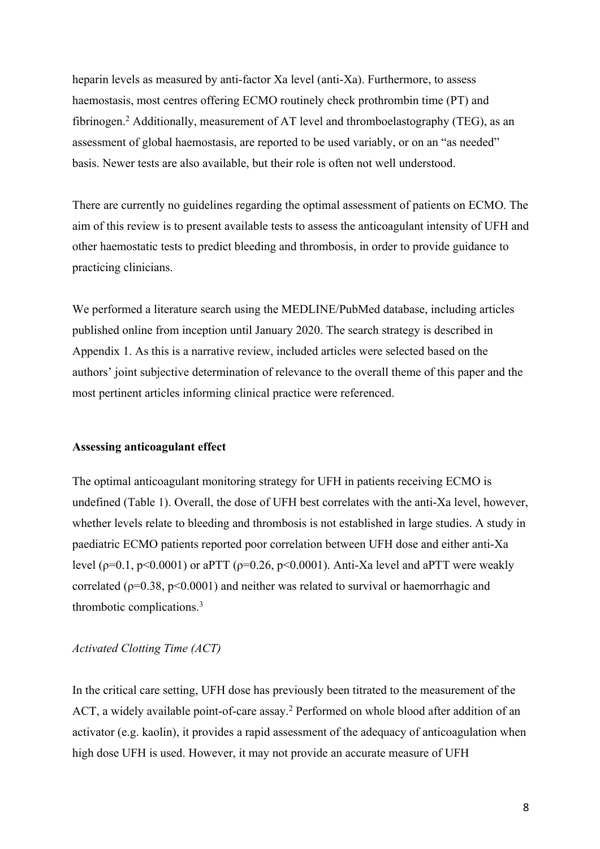heparin levels as measured by anti-factor Xa level (anti-Xa). Furthermore, to assess haemostasis, most centres offering ECMO routinely check prothrombin time (PT) and fibrinogen. <sup>2</sup> Additionally, measurement of AT level and thromboelastography (TEG), as an assessment of global haemostasis, are reported to be used variably, or on an "as needed" basis. Newer tests are also available, but their role is often not well understood.

There are currently no guidelines regarding the optimal assessment of patients on ECMO. The aim of this review is to present available tests to assess the anticoagulant intensity of UFH and other haemostatic tests to predict bleeding and thrombosis, in order to provide guidance to practicing clinicians.

We performed a literature search using the MEDLINE/PubMed database, including articles published online from inception until January 2020. The search strategy is described in Appendix 1. As this is a narrative review, included articles were selected based on the authors' joint subjective determination of relevance to the overall theme of this paper and the most pertinent articles informing clinical practice were referenced.

## **Assessing anticoagulant effect**

The optimal anticoagulant monitoring strategy for UFH in patients receiving ECMO is undefined (Table 1). Overall, the dose of UFH best correlates with the anti-Xa level, however, whether levels relate to bleeding and thrombosis is not established in large studies. A study in paediatric ECMO patients reported poor correlation between UFH dose and either anti-Xa level ( $p=0.1$ ,  $p<0.0001$ ) or aPTT ( $p=0.26$ ,  $p<0.0001$ ). Anti-Xa level and aPTT were weakly correlated ( $p=0.38$ ,  $p<0.0001$ ) and neither was related to survival or haemorrhagic and thrombotic complications. 3

### *Activated Clotting Time (ACT)*

In the critical care setting, UFH dose has previously been titrated to the measurement of the ACT, a widely available point-of-care assay.<sup>2</sup> Performed on whole blood after addition of an activator (e.g. kaolin), it provides a rapid assessment of the adequacy of anticoagulation when high dose UFH is used. However, it may not provide an accurate measure of UFH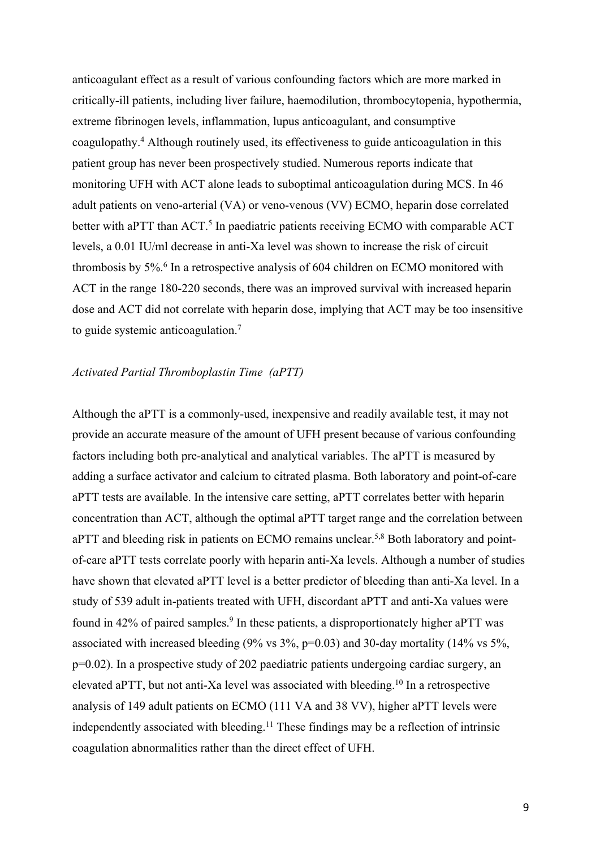anticoagulant effect as a result of various confounding factors which are more marked in critically-ill patients, including liver failure, haemodilution, thrombocytopenia, hypothermia, extreme fibrinogen levels, inflammation, lupus anticoagulant, and consumptive coagulopathy.4 Although routinely used, its effectiveness to guide anticoagulation in this patient group has never been prospectively studied. Numerous reports indicate that monitoring UFH with ACT alone leads to suboptimal anticoagulation during MCS. In 46 adult patients on veno-arterial (VA) or veno-venous (VV) ECMO, heparin dose correlated better with aPTT than ACT.<sup>5</sup> In paediatric patients receiving ECMO with comparable ACT levels, a 0.01 IU/ml decrease in anti-Xa level was shown to increase the risk of circuit thrombosis by 5%. <sup>6</sup> In a retrospective analysis of 604 children on ECMO monitored with ACT in the range 180-220 seconds, there was an improved survival with increased heparin dose and ACT did not correlate with heparin dose, implying that ACT may be too insensitive to guide systemic anticoagulation.7

## *Activated Partial Thromboplastin Time (aPTT)*

Although the aPTT is a commonly-used, inexpensive and readily available test, it may not provide an accurate measure of the amount of UFH present because of various confounding factors including both pre-analytical and analytical variables. The aPTT is measured by adding a surface activator and calcium to citrated plasma. Both laboratory and point-of-care aPTT tests are available. In the intensive care setting, aPTT correlates better with heparin concentration than ACT, although the optimal aPTT target range and the correlation between aPTT and bleeding risk in patients on ECMO remains unclear.<sup>5,8</sup> Both laboratory and pointof-care aPTT tests correlate poorly with heparin anti-Xa levels. Although a number of studies have shown that elevated aPTT level is a better predictor of bleeding than anti-Xa level. In a study of 539 adult in-patients treated with UFH, discordant aPTT and anti-Xa values were found in 42% of paired samples. <sup>9</sup> In these patients, a disproportionately higher aPTT was associated with increased bleeding  $(9\% \text{ vs } 3\%, p=0.03)$  and 30-day mortality  $(14\% \text{ vs } 5\%,$ p=0.02). In a prospective study of 202 paediatric patients undergoing cardiac surgery, an elevated aPTT, but not anti-Xa level was associated with bleeding.<sup>10</sup> In a retrospective analysis of 149 adult patients on ECMO (111 VA and 38 VV), higher aPTT levels were independently associated with bleeding.<sup>11</sup> These findings may be a reflection of intrinsic coagulation abnormalities rather than the direct effect of UFH.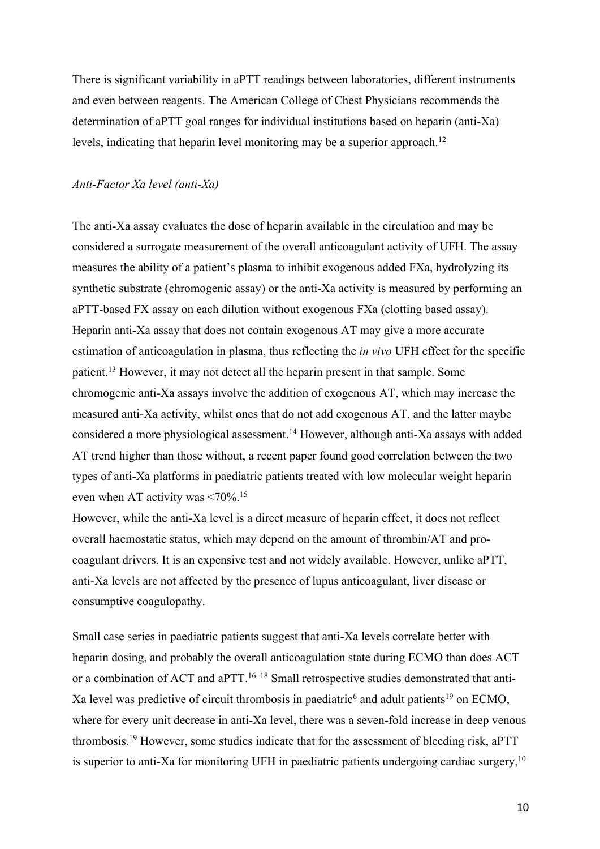There is significant variability in aPTT readings between laboratories, different instruments and even between reagents. The American College of Chest Physicians recommends the determination of aPTT goal ranges for individual institutions based on heparin (anti-Xa) levels, indicating that heparin level monitoring may be a superior approach.<sup>12</sup>

#### *Anti-Factor Xa level (anti-Xa)*

The anti-Xa assay evaluates the dose of heparin available in the circulation and may be considered a surrogate measurement of the overall anticoagulant activity of UFH. The assay measures the ability of a patient's plasma to inhibit exogenous added FXa, hydrolyzing its synthetic substrate (chromogenic assay) or the anti-Xa activity is measured by performing an aPTT-based FX assay on each dilution without exogenous FXa (clotting based assay). Heparin anti-Xa assay that does not contain exogenous AT may give a more accurate estimation of anticoagulation in plasma, thus reflecting the *in vivo* UFH effect for the specific patient.13 However, it may not detect all the heparin present in that sample. Some chromogenic anti-Xa assays involve the addition of exogenous AT, which may increase the measured anti-Xa activity, whilst ones that do not add exogenous AT, and the latter maybe considered a more physiological assessment.14 However, although anti-Xa assays with added AT trend higher than those without, a recent paper found good correlation between the two types of anti-Xa platforms in paediatric patients treated with low molecular weight heparin even when AT activity was  $\leq 70\%$ .<sup>15</sup>

However, while the anti-Xa level is a direct measure of heparin effect, it does not reflect overall haemostatic status, which may depend on the amount of thrombin/AT and procoagulant drivers. It is an expensive test and not widely available. However, unlike aPTT, anti-Xa levels are not affected by the presence of lupus anticoagulant, liver disease or consumptive coagulopathy.

Small case series in paediatric patients suggest that anti-Xa levels correlate better with heparin dosing, and probably the overall anticoagulation state during ECMO than does ACT or a combination of ACT and aPTT.<sup>16-18</sup> Small retrospective studies demonstrated that anti-Xa level was predictive of circuit thrombosis in paediatric<sup>6</sup> and adult patients<sup>19</sup> on ECMO. where for every unit decrease in anti-Xa level, there was a seven-fold increase in deep venous thrombosis.<sup>19</sup> However, some studies indicate that for the assessment of bleeding risk, aPTT is superior to anti-Xa for monitoring UFH in paediatric patients undergoing cardiac surgery,  $10$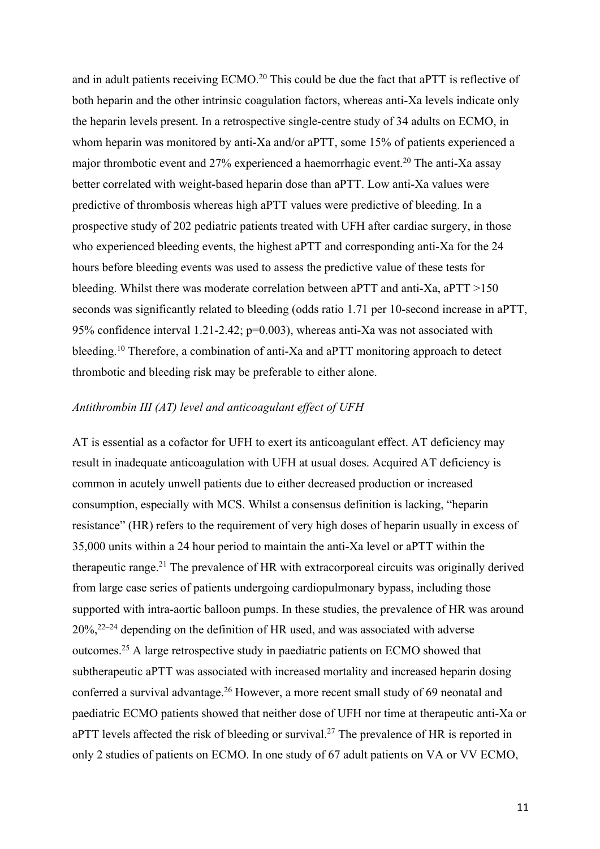and in adult patients receiving ECMO.<sup>20</sup> This could be due the fact that aPTT is reflective of both heparin and the other intrinsic coagulation factors, whereas anti-Xa levels indicate only the heparin levels present. In a retrospective single-centre study of 34 adults on ECMO, in whom heparin was monitored by anti-Xa and/or aPTT, some 15% of patients experienced a major thrombotic event and 27% experienced a haemorrhagic event. <sup>20</sup> The anti-Xa assay better correlated with weight-based heparin dose than aPTT. Low anti-Xa values were predictive of thrombosis whereas high aPTT values were predictive of bleeding. In a prospective study of 202 pediatric patients treated with UFH after cardiac surgery, in those who experienced bleeding events, the highest aPTT and corresponding anti-Xa for the 24 hours before bleeding events was used to assess the predictive value of these tests for bleeding. Whilst there was moderate correlation between aPTT and anti-Xa, aPTT >150 seconds was significantly related to bleeding (odds ratio 1.71 per 10-second increase in aPTT, 95% confidence interval 1.21-2.42; p=0.003), whereas anti-Xa was not associated with bleeding.<sup>10</sup> Therefore, a combination of anti-Xa and aPTT monitoring approach to detect thrombotic and bleeding risk may be preferable to either alone.

#### *Antithrombin III (AT) level and anticoagulant effect of UFH*

AT is essential as a cofactor for UFH to exert its anticoagulant effect. AT deficiency may result in inadequate anticoagulation with UFH at usual doses. Acquired AT deficiency is common in acutely unwell patients due to either decreased production or increased consumption, especially with MCS. Whilst a consensus definition is lacking, "heparin resistance" (HR) refers to the requirement of very high doses of heparin usually in excess of 35,000 units within a 24 hour period to maintain the anti-Xa level or aPTT within the therapeutic range.<sup>21</sup> The prevalence of HR with extracorporeal circuits was originally derived from large case series of patients undergoing cardiopulmonary bypass, including those supported with intra-aortic balloon pumps. In these studies, the prevalence of HR was around  $20\%,^{22-24}$  depending on the definition of HR used, and was associated with adverse outcomes. <sup>25</sup> A large retrospective study in paediatric patients on ECMO showed that subtherapeutic aPTT was associated with increased mortality and increased heparin dosing conferred a survival advantage.<sup>26</sup> However, a more recent small study of 69 neonatal and paediatric ECMO patients showed that neither dose of UFH nor time at therapeutic anti-Xa or aPTT levels affected the risk of bleeding or survival.<sup>27</sup> The prevalence of HR is reported in only 2 studies of patients on ECMO. In one study of 67 adult patients on VA or VV ECMO,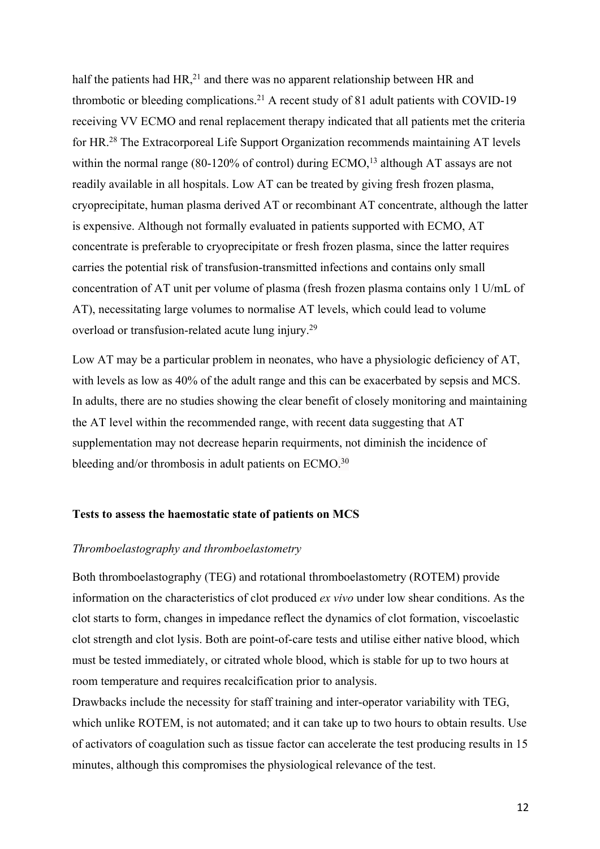half the patients had  $HR$ ,<sup>21</sup> and there was no apparent relationship between HR and thrombotic or bleeding complications.<sup>21</sup> A recent study of 81 adult patients with COVID-19 receiving VV ECMO and renal replacement therapy indicated that all patients met the criteria for HR.<sup>28</sup> The Extracorporeal Life Support Organization recommends maintaining AT levels within the normal range (80-120% of control) during ECMO,<sup>13</sup> although AT assays are not readily available in all hospitals. Low AT can be treated by giving fresh frozen plasma, cryoprecipitate, human plasma derived AT or recombinant AT concentrate, although the latter is expensive. Although not formally evaluated in patients supported with ECMO, AT concentrate is preferable to cryoprecipitate or fresh frozen plasma, since the latter requires carries the potential risk of transfusion-transmitted infections and contains only small concentration of AT unit per volume of plasma (fresh frozen plasma contains only 1 U/mL of AT), necessitating large volumes to normalise AT levels, which could lead to volume overload or transfusion-related acute lung injury.<sup>29</sup>

Low AT may be a particular problem in neonates, who have a physiologic deficiency of AT, with levels as low as 40% of the adult range and this can be exacerbated by sepsis and MCS. In adults, there are no studies showing the clear benefit of closely monitoring and maintaining the AT level within the recommended range, with recent data suggesting that AT supplementation may not decrease heparin requirments, not diminish the incidence of bleeding and/or thrombosis in adult patients on ECMO.<sup>30</sup>

#### **Tests to assess the haemostatic state of patients on MCS**

#### *Thromboelastography and thromboelastometry*

Both thromboelastography (TEG) and rotational thromboelastometry (ROTEM) provide information on the characteristics of clot produced *ex vivo* under low shear conditions. As the clot starts to form, changes in impedance reflect the dynamics of clot formation, viscoelastic clot strength and clot lysis. Both are point-of-care tests and utilise either native blood, which must be tested immediately, or citrated whole blood, which is stable for up to two hours at room temperature and requires recalcification prior to analysis.

Drawbacks include the necessity for staff training and inter-operator variability with TEG, which unlike ROTEM, is not automated; and it can take up to two hours to obtain results. Use of activators of coagulation such as tissue factor can accelerate the test producing results in 15 minutes, although this compromises the physiological relevance of the test.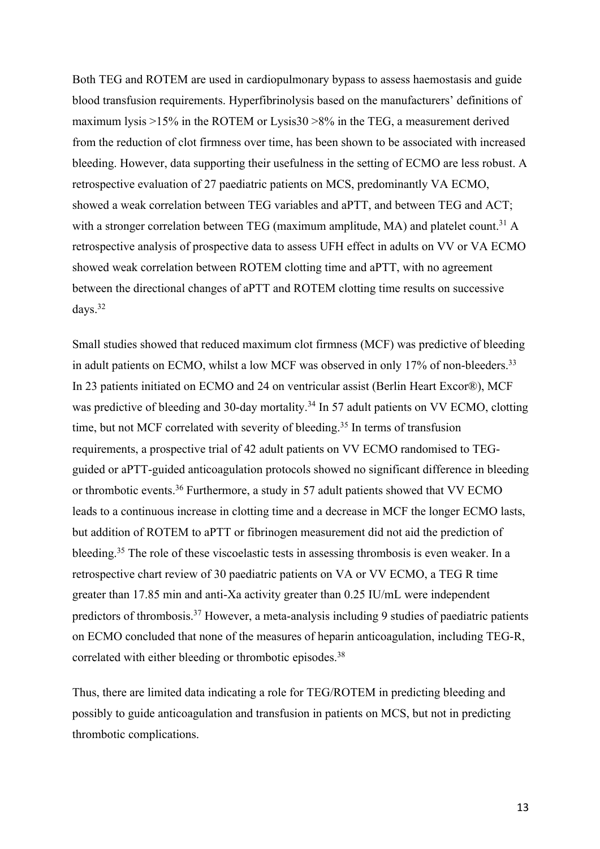Both TEG and ROTEM are used in cardiopulmonary bypass to assess haemostasis and guide blood transfusion requirements. Hyperfibrinolysis based on the manufacturers' definitions of maximum lysis >15% in the ROTEM or Lysis30 >8% in the TEG, a measurement derived from the reduction of clot firmness over time, has been shown to be associated with increased bleeding. However, data supporting their usefulness in the setting of ECMO are less robust. A retrospective evaluation of 27 paediatric patients on MCS, predominantly VA ECMO, showed a weak correlation between TEG variables and aPTT, and between TEG and ACT; with a stronger correlation between TEG (maximum amplitude, MA) and platelet count.<sup>31</sup> A retrospective analysis of prospective data to assess UFH effect in adults on VV or VA ECMO showed weak correlation between ROTEM clotting time and aPTT, with no agreement between the directional changes of aPTT and ROTEM clotting time results on successive days. 32

Small studies showed that reduced maximum clot firmness (MCF) was predictive of bleeding in adult patients on ECMO, whilst a low MCF was observed in only 17% of non-bleeders.<sup>33</sup> In 23 patients initiated on ECMO and 24 on ventricular assist (Berlin Heart Excor®), MCF was predictive of bleeding and 30-day mortality.<sup>34</sup> In 57 adult patients on VV ECMO, clotting time, but not MCF correlated with severity of bleeding.<sup>35</sup> In terms of transfusion requirements, a prospective trial of 42 adult patients on VV ECMO randomised to TEGguided or aPTT-guided anticoagulation protocols showed no significant difference in bleeding or thrombotic events.<sup>36</sup> Furthermore, a study in 57 adult patients showed that VV ECMO leads to a continuous increase in clotting time and a decrease in MCF the longer ECMO lasts, but addition of ROTEM to aPTT or fibrinogen measurement did not aid the prediction of bleeding.<sup>35</sup> The role of these viscoelastic tests in assessing thrombosis is even weaker. In a retrospective chart review of 30 paediatric patients on VA or VV ECMO, a TEG R time greater than 17.85 min and anti-Xa activity greater than 0.25 IU/mL were independent predictors of thrombosis.<sup>37</sup> However, a meta-analysis including 9 studies of paediatric patients on ECMO concluded that none of the measures of heparin anticoagulation, including TEG-R, correlated with either bleeding or thrombotic episodes.<sup>38</sup>

Thus, there are limited data indicating a role for TEG/ROTEM in predicting bleeding and possibly to guide anticoagulation and transfusion in patients on MCS, but not in predicting thrombotic complications.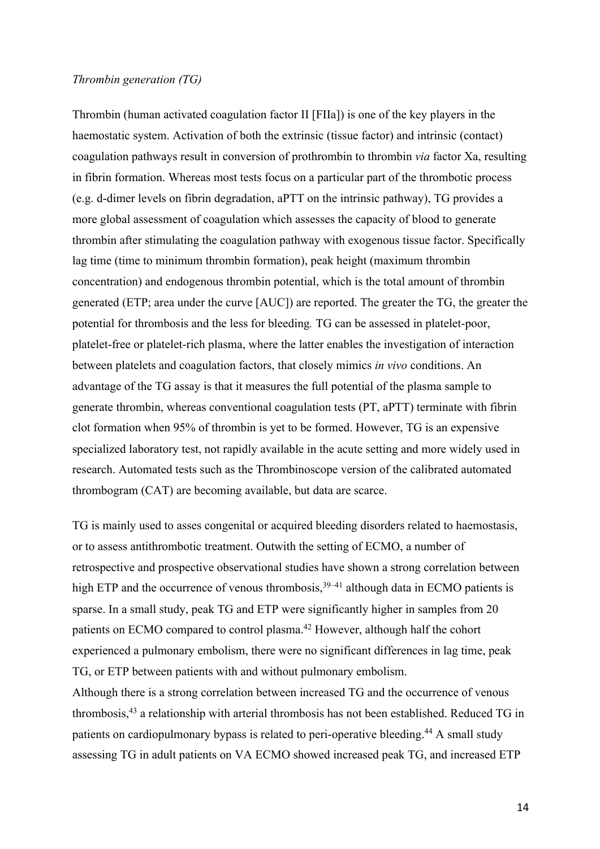#### *Thrombin generation (TG)*

Thrombin (human activated coagulation factor II [FIIa]) is one of the key players in the haemostatic system. Activation of both the extrinsic (tissue factor) and intrinsic (contact) coagulation pathways result in conversion of prothrombin to thrombin *via* factor Xa, resulting in fibrin formation. Whereas most tests focus on a particular part of the thrombotic process (e.g. d-dimer levels on fibrin degradation, aPTT on the intrinsic pathway), TG provides a more global assessment of coagulation which assesses the capacity of blood to generate thrombin after stimulating the coagulation pathway with exogenous tissue factor. Specifically lag time (time to minimum thrombin formation), peak height (maximum thrombin concentration) and endogenous thrombin potential, which is the total amount of thrombin generated (ETP; area under the curve [AUC]) are reported. The greater the TG, the greater the potential for thrombosis and the less for bleeding*.* TG can be assessed in platelet-poor, platelet-free or platelet-rich plasma, where the latter enables the investigation of interaction between platelets and coagulation factors, that closely mimics *in vivo* conditions. An advantage of the TG assay is that it measures the full potential of the plasma sample to generate thrombin, whereas conventional coagulation tests (PT, aPTT) terminate with fibrin clot formation when 95% of thrombin is yet to be formed. However, TG is an expensive specialized laboratory test, not rapidly available in the acute setting and more widely used in research. Automated tests such as the Thrombinoscope version of the calibrated automated thrombogram (CAT) are becoming available, but data are scarce.

TG is mainly used to asses congenital or acquired bleeding disorders related to haemostasis, or to assess antithrombotic treatment. Outwith the setting of ECMO, a number of retrospective and prospective observational studies have shown a strong correlation between high ETP and the occurrence of venous thrombosis,<sup>39–41</sup> although data in ECMO patients is sparse. In a small study, peak TG and ETP were significantly higher in samples from 20 patients on ECMO compared to control plasma.42 However, although half the cohort experienced a pulmonary embolism, there were no significant differences in lag time, peak TG, or ETP between patients with and without pulmonary embolism.

Although there is a strong correlation between increased TG and the occurrence of venous thrombosis,43 a relationship with arterial thrombosis has not been established. Reduced TG in patients on cardiopulmonary bypass is related to peri-operative bleeding.<sup>44</sup> A small study assessing TG in adult patients on VA ECMO showed increased peak TG, and increased ETP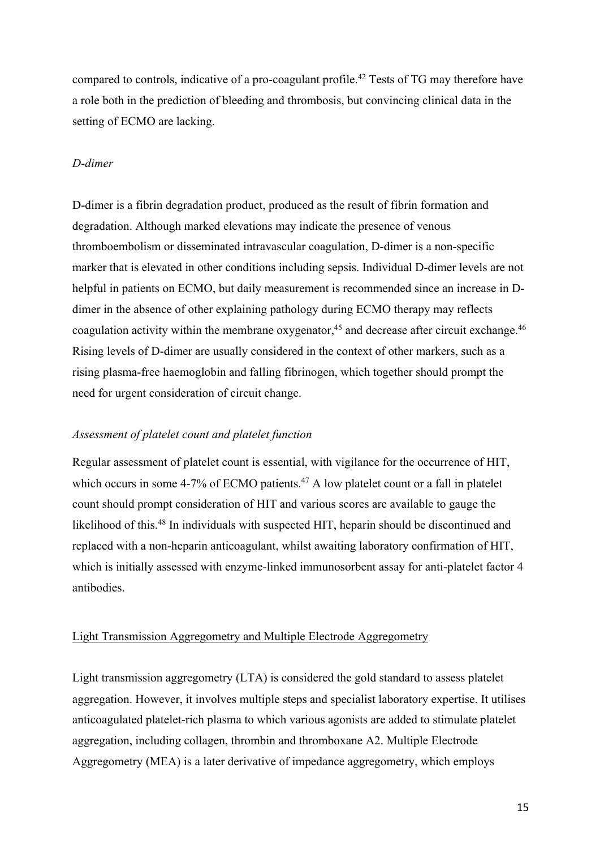compared to controls, indicative of a pro-coagulant profile.<sup>42</sup> Tests of TG may therefore have a role both in the prediction of bleeding and thrombosis, but convincing clinical data in the setting of ECMO are lacking.

## *D-dimer*

D-dimer is a fibrin degradation product, produced as the result of fibrin formation and degradation. Although marked elevations may indicate the presence of venous thromboembolism or disseminated intravascular coagulation, D-dimer is a non-specific marker that is elevated in other conditions including sepsis. Individual D-dimer levels are not helpful in patients on ECMO, but daily measurement is recommended since an increase in Ddimer in the absence of other explaining pathology during ECMO therapy may reflects coagulation activity within the membrane oxygenator,<sup>45</sup> and decrease after circuit exchange.<sup>46</sup> Rising levels of D-dimer are usually considered in the context of other markers, such as a rising plasma-free haemoglobin and falling fibrinogen, which together should prompt the need for urgent consideration of circuit change.

### *Assessment of platelet count and platelet function*

Regular assessment of platelet count is essential, with vigilance for the occurrence of HIT, which occurs in some 4-7% of ECMO patients.<sup>47</sup> A low platelet count or a fall in platelet count should prompt consideration of HIT and various scores are available to gauge the likelihood of this.<sup>48</sup> In individuals with suspected HIT, heparin should be discontinued and replaced with a non-heparin anticoagulant, whilst awaiting laboratory confirmation of HIT, which is initially assessed with enzyme-linked immunosorbent assay for anti-platelet factor 4 antibodies.

## Light Transmission Aggregometry and Multiple Electrode Aggregometry

Light transmission aggregometry (LTA) is considered the gold standard to assess platelet aggregation. However, it involves multiple steps and specialist laboratory expertise. It utilises anticoagulated platelet-rich plasma to which various agonists are added to stimulate platelet aggregation, including collagen, thrombin and thromboxane A2. Multiple Electrode Aggregometry (MEA) is a later derivative of impedance aggregometry, which employs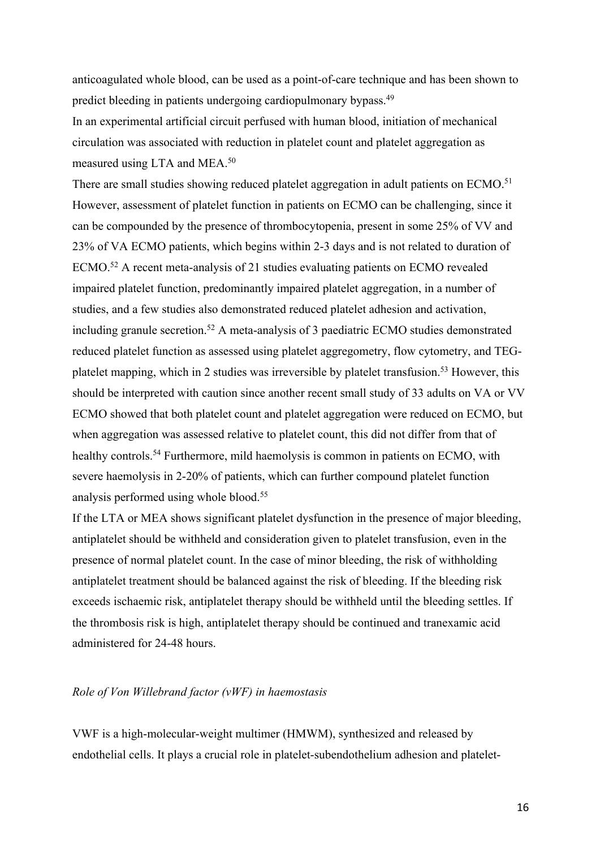anticoagulated whole blood, can be used as a point-of-care technique and has been shown to predict bleeding in patients undergoing cardiopulmonary bypass.<sup>49</sup>

In an experimental artificial circuit perfused with human blood, initiation of mechanical circulation was associated with reduction in platelet count and platelet aggregation as measured using LTA and MEA.50

There are small studies showing reduced platelet aggregation in adult patients on ECMO.<sup>51</sup> However, assessment of platelet function in patients on ECMO can be challenging, since it can be compounded by the presence of thrombocytopenia, present in some 25% of VV and 23% of VA ECMO patients, which begins within 2-3 days and is not related to duration of ECMO. <sup>52</sup> A recent meta-analysis of 21 studies evaluating patients on ECMO revealed impaired platelet function, predominantly impaired platelet aggregation, in a number of studies, and a few studies also demonstrated reduced platelet adhesion and activation, including granule secretion.<sup>52</sup> A meta-analysis of 3 paediatric ECMO studies demonstrated reduced platelet function as assessed using platelet aggregometry, flow cytometry, and TEGplatelet mapping, which in 2 studies was irreversible by platelet transfusion.<sup>53</sup> However, this should be interpreted with caution since another recent small study of 33 adults on VA or VV ECMO showed that both platelet count and platelet aggregation were reduced on ECMO, but when aggregation was assessed relative to platelet count, this did not differ from that of healthy controls.<sup>54</sup> Furthermore, mild haemolysis is common in patients on ECMO, with severe haemolysis in 2-20% of patients, which can further compound platelet function analysis performed using whole blood. 55

If the LTA or MEA shows significant platelet dysfunction in the presence of major bleeding, antiplatelet should be withheld and consideration given to platelet transfusion, even in the presence of normal platelet count. In the case of minor bleeding, the risk of withholding antiplatelet treatment should be balanced against the risk of bleeding. If the bleeding risk exceeds ischaemic risk, antiplatelet therapy should be withheld until the bleeding settles. If the thrombosis risk is high, antiplatelet therapy should be continued and tranexamic acid administered for 24-48 hours.

## *Role of Von Willebrand factor (vWF) in haemostasis*

VWF is a high-molecular-weight multimer (HMWM), synthesized and released by endothelial cells. It plays a crucial role in platelet-subendothelium adhesion and platelet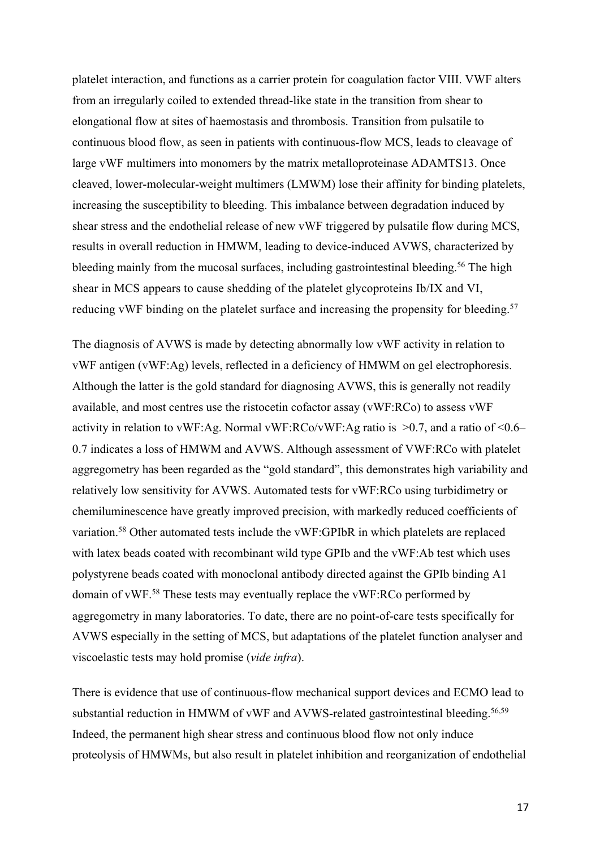platelet interaction, and functions as a carrier protein for coagulation factor VIII. VWF alters from an irregularly coiled to extended thread-like state in the transition from shear to elongational flow at sites of haemostasis and thrombosis. Transition from pulsatile to continuous blood flow, as seen in patients with continuous-flow MCS, leads to cleavage of large vWF multimers into monomers by the matrix metalloproteinase ADAMTS13. Once cleaved, lower-molecular-weight multimers (LMWM) lose their affinity for binding platelets, increasing the susceptibility to bleeding. This imbalance between degradation induced by shear stress and the endothelial release of new vWF triggered by pulsatile flow during MCS, results in overall reduction in HMWM, leading to device-induced AVWS, characterized by bleeding mainly from the mucosal surfaces, including gastrointestinal bleeding.<sup>56</sup> The high shear in MCS appears to cause shedding of the platelet glycoproteins Ib/IX and VI, reducing vWF binding on the platelet surface and increasing the propensity for bleeding.<sup>57</sup>

The diagnosis of AVWS is made by detecting abnormally low vWF activity in relation to vWF antigen (vWF:Ag) levels, reflected in a deficiency of HMWM on gel electrophoresis. Although the latter is the gold standard for diagnosing AVWS, this is generally not readily available, and most centres use the ristocetin cofactor assay (vWF:RCo) to assess vWF activity in relation to vWF:Ag. Normal vWF:RCo/vWF:Ag ratio is  $>0.7$ , and a ratio of <0.6– 0.7 indicates a loss of HMWM and AVWS. Although assessment of VWF:RCo with platelet aggregometry has been regarded as the "gold standard", this demonstrates high variability and relatively low sensitivity for AVWS. Automated tests for vWF:RCo using turbidimetry or chemiluminescence have greatly improved precision, with markedly reduced coefficients of variation. <sup>58</sup> Other automated tests include the vWF:GPIbR in which platelets are replaced with latex beads coated with recombinant wild type GPIb and the vWF:Ab test which uses polystyrene beads coated with monoclonal antibody directed against the GPIb binding A1 domain of vWF. <sup>58</sup> These tests may eventually replace the vWF:RCo performed by aggregometry in many laboratories. To date, there are no point-of-care tests specifically for AVWS especially in the setting of MCS, but adaptations of the platelet function analyser and viscoelastic tests may hold promise (*vide infra*).

There is evidence that use of continuous-flow mechanical support devices and ECMO lead to substantial reduction in HMWM of vWF and AVWS-related gastrointestinal bleeding.<sup>56,59</sup> Indeed, the permanent high shear stress and continuous blood flow not only induce proteolysis of HMWMs, but also result in platelet inhibition and reorganization of endothelial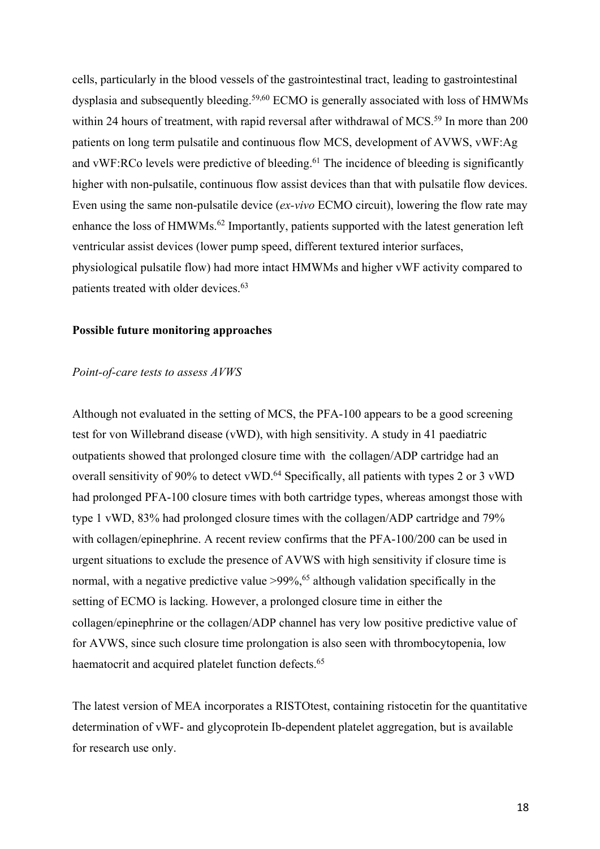cells, particularly in the blood vessels of the gastrointestinal tract, leading to gastrointestinal dysplasia and subsequently bleeding.<sup>59,60</sup> ECMO is generally associated with loss of HMWMs within 24 hours of treatment, with rapid reversal after withdrawal of MCS.<sup>59</sup> In more than 200 patients on long term pulsatile and continuous flow MCS, development of AVWS, vWF:Ag and vWF:RCo levels were predictive of bleeding.<sup>61</sup> The incidence of bleeding is significantly higher with non-pulsatile, continuous flow assist devices than that with pulsatile flow devices. Even using the same non-pulsatile device (*ex-vivo* ECMO circuit), lowering the flow rate may enhance the loss of HMWMs.<sup>62</sup> Importantly, patients supported with the latest generation left ventricular assist devices (lower pump speed, different textured interior surfaces, physiological pulsatile flow) had more intact HMWMs and higher vWF activity compared to patients treated with older devices. 63

#### **Possible future monitoring approaches**

#### *Point-of-care tests to assess AVWS*

Although not evaluated in the setting of MCS, the PFA-100 appears to be a good screening test for von Willebrand disease (vWD), with high sensitivity. A study in 41 paediatric outpatients showed that prolonged closure time with the collagen/ADP cartridge had an overall sensitivity of 90% to detect vWD.<sup>64</sup> Specifically, all patients with types 2 or 3 vWD had prolonged PFA-100 closure times with both cartridge types, whereas amongst those with type 1 vWD, 83% had prolonged closure times with the collagen/ADP cartridge and 79% with collagen/epinephrine. A recent review confirms that the PFA-100/200 can be used in urgent situations to exclude the presence of AVWS with high sensitivity if closure time is normal, with a negative predictive value >99%, <sup>65</sup> although validation specifically in the setting of ECMO is lacking. However, a prolonged closure time in either the collagen/epinephrine or the collagen/ADP channel has very low positive predictive value of for AVWS, since such closure time prolongation is also seen with thrombocytopenia, low haematocrit and acquired platelet function defects.<sup>65</sup>

The latest version of MEA incorporates a RISTOtest, containing ristocetin for the quantitative determination of vWF- and glycoprotein Ib-dependent platelet aggregation, but is available for research use only.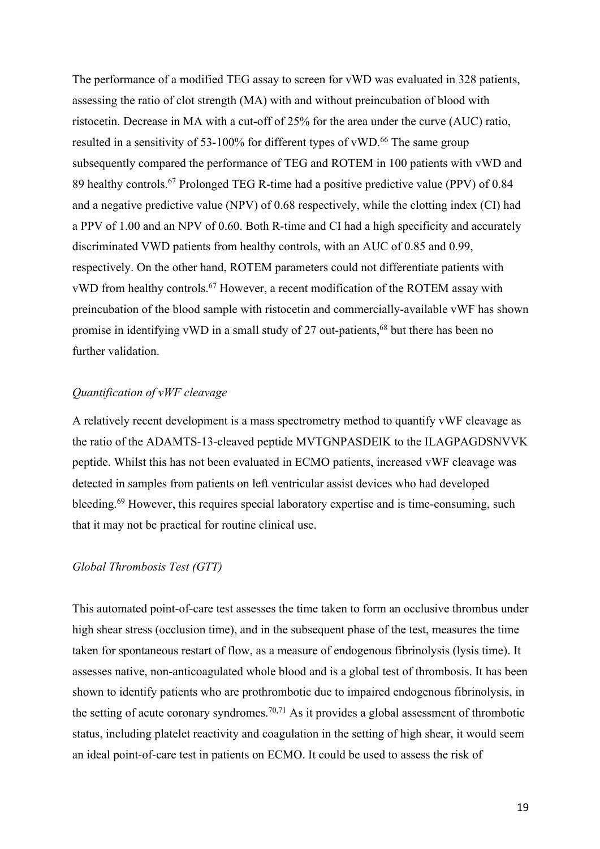The performance of a modified TEG assay to screen for vWD was evaluated in 328 patients, assessing the ratio of clot strength (MA) with and without preincubation of blood with ristocetin. Decrease in MA with a cut-off of 25% for the area under the curve (AUC) ratio, resulted in a sensitivity of 53-100% for different types of vWD.<sup>66</sup> The same group subsequently compared the performance of TEG and ROTEM in 100 patients with vWD and 89 healthy controls. <sup>67</sup> Prolonged TEG R-time had a positive predictive value (PPV) of 0.84 and a negative predictive value (NPV) of 0.68 respectively, while the clotting index (CI) had a PPV of 1.00 and an NPV of 0.60. Both R-time and CI had a high specificity and accurately discriminated VWD patients from healthy controls, with an AUC of 0.85 and 0.99, respectively. On the other hand, ROTEM parameters could not differentiate patients with vWD from healthy controls.<sup>67</sup> However, a recent modification of the ROTEM assay with preincubation of the blood sample with ristocetin and commercially-available vWF has shown promise in identifying vWD in a small study of  $27$  out-patients,<sup>68</sup> but there has been no further validation.

### *Quantification of vWF cleavage*

A relatively recent development is a mass spectrometry method to quantify vWF cleavage as the ratio of the ADAMTS-13-cleaved peptide MVTGNPASDEIK to the ILAGPAGDSNVVK peptide. Whilst this has not been evaluated in ECMO patients, increased vWF cleavage was detected in samples from patients on left ventricular assist devices who had developed bleeding.<sup>69</sup> However, this requires special laboratory expertise and is time-consuming, such that it may not be practical for routine clinical use.

### *Global Thrombosis Test (GTT)*

This automated point-of-care test assesses the time taken to form an occlusive thrombus under high shear stress (occlusion time), and in the subsequent phase of the test, measures the time taken for spontaneous restart of flow, as a measure of endogenous fibrinolysis (lysis time). It assesses native, non-anticoagulated whole blood and is a global test of thrombosis. It has been shown to identify patients who are prothrombotic due to impaired endogenous fibrinolysis, in the setting of acute coronary syndromes.<sup>70,71</sup> As it provides a global assessment of thrombotic status, including platelet reactivity and coagulation in the setting of high shear, it would seem an ideal point-of-care test in patients on ECMO. It could be used to assess the risk of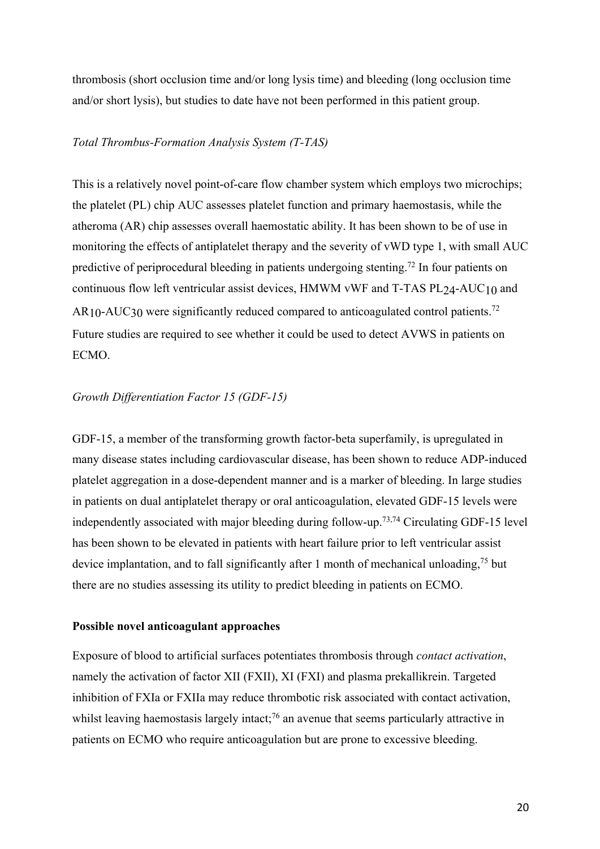thrombosis (short occlusion time and/or long lysis time) and bleeding (long occlusion time and/or short lysis), but studies to date have not been performed in this patient group.

#### *Total Thrombus-Formation Analysis System (T-TAS)*

This is a relatively novel point-of-care flow chamber system which employs two microchips; the platelet (PL) chip AUC assesses platelet function and primary haemostasis, while the atheroma (AR) chip assesses overall haemostatic ability. It has been shown to be of use in monitoring the effects of antiplatelet therapy and the severity of vWD type 1, with small AUC predictive of periprocedural bleeding in patients undergoing stenting.<sup>72</sup> In four patients on continuous flow left ventricular assist devices, HMWM vWF and T-TAS PL24-AUC10 and  $AR_{10}$ -AUC30 were significantly reduced compared to anticoagulated control patients.<sup>72</sup> Future studies are required to see whether it could be used to detect AVWS in patients on ECMO.

#### *Growth Differentiation Factor 15 (GDF-15)*

GDF-15, a member of the transforming growth factor-beta superfamily, is upregulated in many disease states including cardiovascular disease, has been shown to reduce ADP-induced platelet aggregation in a dose-dependent manner and is a marker of bleeding. In large studies in patients on dual antiplatelet therapy or oral anticoagulation, elevated GDF-15 levels were independently associated with major bleeding during follow-up. 73,74 Circulating GDF-15 level has been shown to be elevated in patients with heart failure prior to left ventricular assist device implantation, and to fall significantly after 1 month of mechanical unloading,<sup>75</sup> but there are no studies assessing its utility to predict bleeding in patients on ECMO.

#### **Possible novel anticoagulant approaches**

Exposure of blood to artificial surfaces potentiates thrombosis through *contact activation*, namely the activation of factor XII (FXII), XI (FXI) and plasma prekallikrein. Targeted inhibition of FXIa or FXIIa may reduce thrombotic risk associated with contact activation, whilst leaving haemostasis largely intact;<sup>76</sup> an avenue that seems particularly attractive in patients on ECMO who require anticoagulation but are prone to excessive bleeding.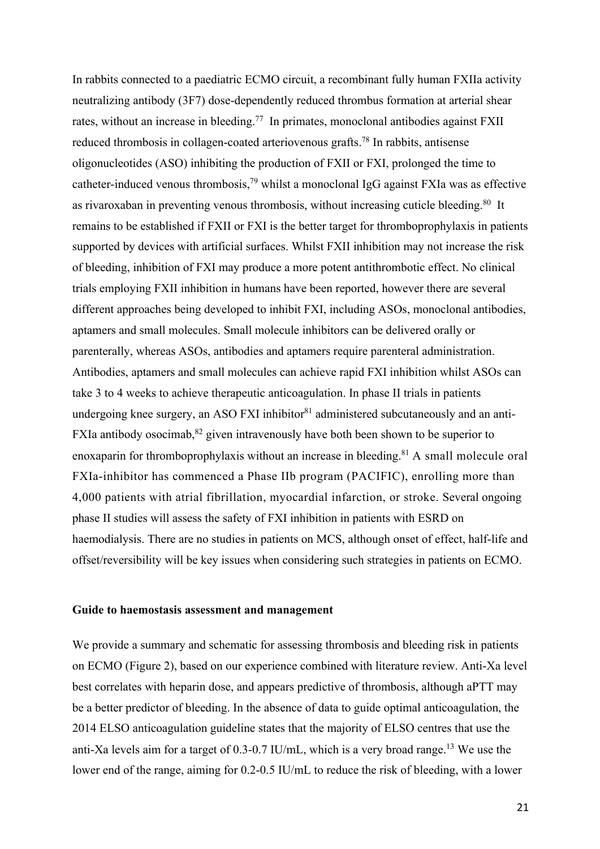In rabbits connected to a paediatric ECMO circuit, a recombinant fully human FXIIa activity neutralizing antibody (3F7) dose-dependently reduced thrombus formation at arterial shear rates, without an increase in bleeding.<sup>77</sup> In primates, monoclonal antibodies against FXII reduced thrombosis in collagen-coated arteriovenous grafts. <sup>78</sup> In rabbits, antisense oligonucleotides (ASO) inhibiting the production of FXII or FXI, prolonged the time to catheter-induced venous thrombosis,<sup>79</sup> whilst a monoclonal IgG against FXIa was as effective as rivaroxaban in preventing venous thrombosis, without increasing cuticle bleeding.80 It remains to be established if FXII or FXI is the better target for thromboprophylaxis in patients supported by devices with artificial surfaces. Whilst FXII inhibition may not increase the risk of bleeding, inhibition of FXI may produce a more potent antithrombotic effect. No clinical trials employing FXII inhibition in humans have been reported, however there are several different approaches being developed to inhibit FXI, including ASOs, monoclonal antibodies, aptamers and small molecules. Small molecule inhibitors can be delivered orally or parenterally, whereas ASOs, antibodies and aptamers require parenteral administration. Antibodies, aptamers and small molecules can achieve rapid FXI inhibition whilst ASOs can take 3 to 4 weeks to achieve therapeutic anticoagulation. In phase II trials in patients undergoing knee surgery, an ASO FXI inhibitor $81$  administered subcutaneously and an anti-FXIa antibody osocimab, $82$  given intravenously have both been shown to be superior to enoxaparin for thromboprophylaxis without an increase in bleeding.<sup>81</sup> A small molecule oral FXIa-inhibitor has commenced a Phase IIb program (PACIFIC), enrolling more than 4,000 patients with atrial fibrillation, myocardial infarction, or stroke. Several ongoing phase II studies will assess the safety of FXI inhibition in patients with ESRD on haemodialysis. There are no studies in patients on MCS, although onset of effect, half-life and offset/reversibility will be key issues when considering such strategies in patients on ECMO.

#### **Guide to haemostasis assessment and management**

We provide a summary and schematic for assessing thrombosis and bleeding risk in patients on ECMO (Figure 2), based on our experience combined with literature review. Anti-Xa level best correlates with heparin dose, and appears predictive of thrombosis, although aPTT may be a better predictor of bleeding. In the absence of data to guide optimal anticoagulation, the 2014 ELSO anticoagulation guideline states that the majority of ELSO centres that use the anti-Xa levels aim for a target of  $0.3$ -0.7 IU/mL, which is a very broad range.<sup>13</sup> We use the lower end of the range, aiming for 0.2-0.5 IU/mL to reduce the risk of bleeding, with a lower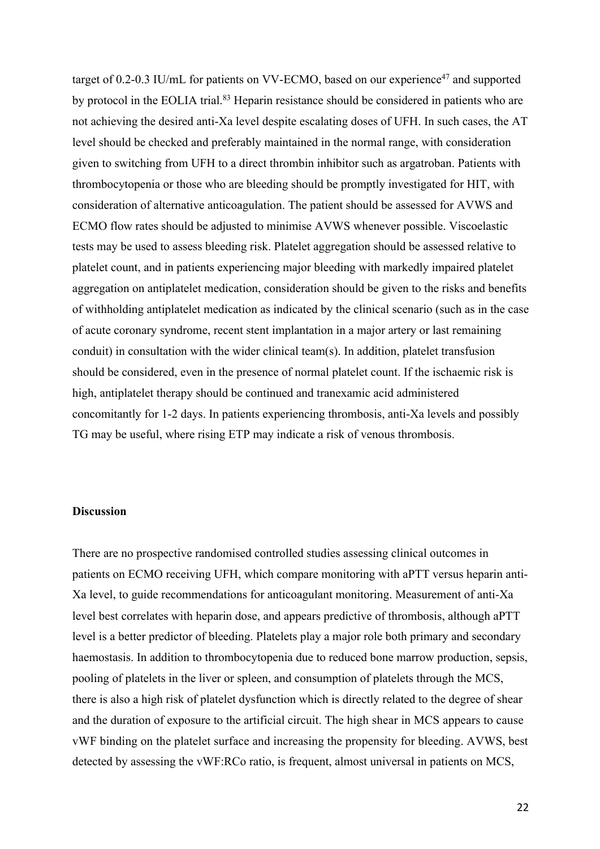target of  $0.2$ -0.3 IU/mL for patients on VV-ECMO, based on our experience<sup>47</sup> and supported by protocol in the EOLIA trial.<sup>83</sup> Heparin resistance should be considered in patients who are not achieving the desired anti-Xa level despite escalating doses of UFH. In such cases, the AT level should be checked and preferably maintained in the normal range, with consideration given to switching from UFH to a direct thrombin inhibitor such as argatroban. Patients with thrombocytopenia or those who are bleeding should be promptly investigated for HIT, with consideration of alternative anticoagulation. The patient should be assessed for AVWS and ECMO flow rates should be adjusted to minimise AVWS whenever possible. Viscoelastic tests may be used to assess bleeding risk. Platelet aggregation should be assessed relative to platelet count, and in patients experiencing major bleeding with markedly impaired platelet aggregation on antiplatelet medication, consideration should be given to the risks and benefits of withholding antiplatelet medication as indicated by the clinical scenario (such as in the case of acute coronary syndrome, recent stent implantation in a major artery or last remaining conduit) in consultation with the wider clinical team(s). In addition, platelet transfusion should be considered, even in the presence of normal platelet count. If the ischaemic risk is high, antiplatelet therapy should be continued and tranexamic acid administered concomitantly for 1-2 days. In patients experiencing thrombosis, anti-Xa levels and possibly TG may be useful, where rising ETP may indicate a risk of venous thrombosis.

#### **Discussion**

There are no prospective randomised controlled studies assessing clinical outcomes in patients on ECMO receiving UFH, which compare monitoring with aPTT versus heparin anti-Xa level, to guide recommendations for anticoagulant monitoring. Measurement of anti-Xa level best correlates with heparin dose, and appears predictive of thrombosis, although aPTT level is a better predictor of bleeding. Platelets play a major role both primary and secondary haemostasis. In addition to thrombocytopenia due to reduced bone marrow production, sepsis, pooling of platelets in the liver or spleen, and consumption of platelets through the MCS, there is also a high risk of platelet dysfunction which is directly related to the degree of shear and the duration of exposure to the artificial circuit. The high shear in MCS appears to cause vWF binding on the platelet surface and increasing the propensity for bleeding. AVWS, best detected by assessing the vWF:RCo ratio, is frequent, almost universal in patients on MCS,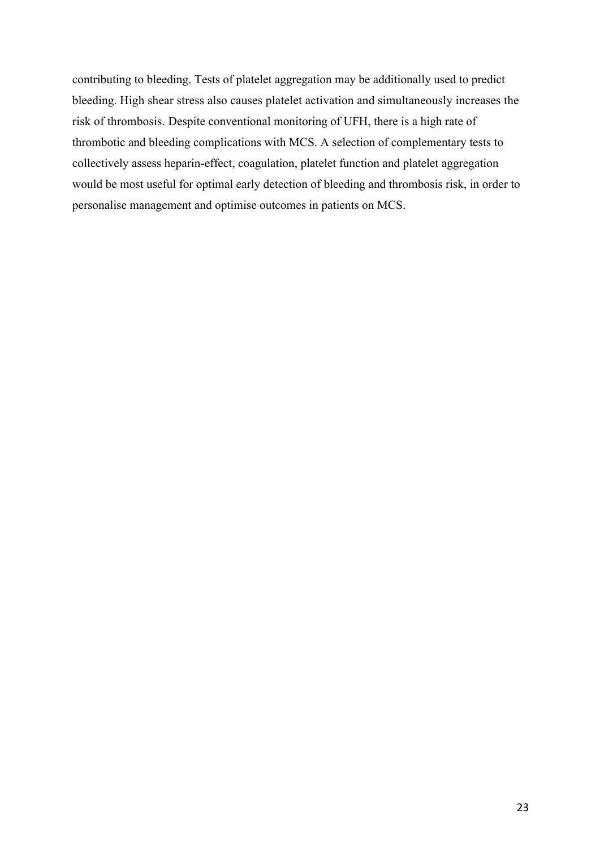contributing to bleeding. Tests of platelet aggregation may be additionally used to predict bleeding. High shear stress also causes platelet activation and simultaneously increases the risk of thrombosis. Despite conventional monitoring of UFH, there is a high rate of thrombotic and bleeding complications with MCS. A selection of complementary tests to collectively assess heparin-effect, coagulation, platelet function and platelet aggregation would be most useful for optimal early detection of bleeding and thrombosis risk, in order to personalise management and optimise outcomes in patients on MCS.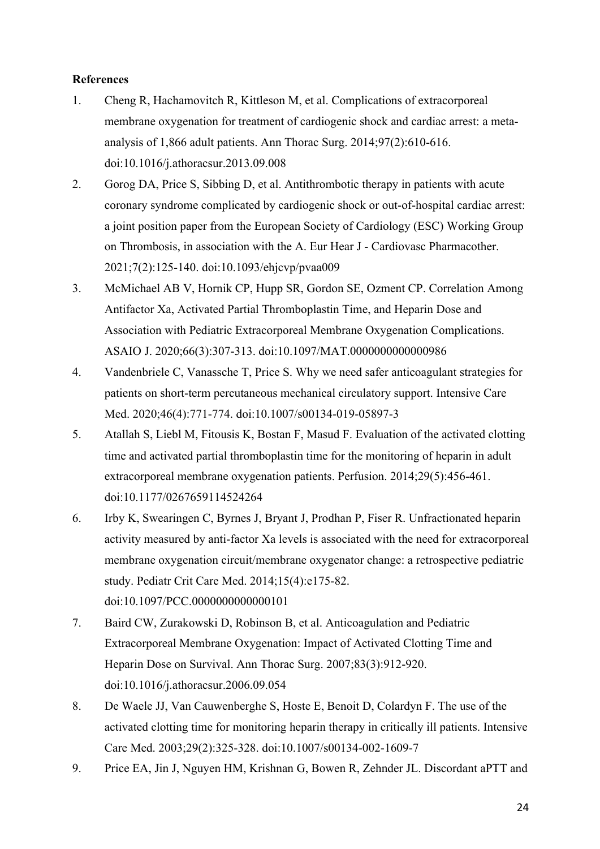# **References**

- 1. Cheng R, Hachamovitch R, Kittleson M, et al. Complications of extracorporeal membrane oxygenation for treatment of cardiogenic shock and cardiac arrest: a metaanalysis of 1,866 adult patients. Ann Thorac Surg. 2014;97(2):610-616. doi:10.1016/j.athoracsur.2013.09.008
- 2. Gorog DA, Price S, Sibbing D, et al. Antithrombotic therapy in patients with acute coronary syndrome complicated by cardiogenic shock or out-of-hospital cardiac arrest: a joint position paper from the European Society of Cardiology (ESC) Working Group on Thrombosis, in association with the A. Eur Hear J - Cardiovasc Pharmacother. 2021;7(2):125-140. doi:10.1093/ehjcvp/pvaa009
- 3. McMichael AB V, Hornik CP, Hupp SR, Gordon SE, Ozment CP. Correlation Among Antifactor Xa, Activated Partial Thromboplastin Time, and Heparin Dose and Association with Pediatric Extracorporeal Membrane Oxygenation Complications. ASAIO J. 2020;66(3):307-313. doi:10.1097/MAT.0000000000000986
- 4. Vandenbriele C, Vanassche T, Price S. Why we need safer anticoagulant strategies for patients on short-term percutaneous mechanical circulatory support. Intensive Care Med. 2020;46(4):771-774. doi:10.1007/s00134-019-05897-3
- 5. Atallah S, Liebl M, Fitousis K, Bostan F, Masud F. Evaluation of the activated clotting time and activated partial thromboplastin time for the monitoring of heparin in adult extracorporeal membrane oxygenation patients. Perfusion. 2014;29(5):456-461. doi:10.1177/0267659114524264
- 6. Irby K, Swearingen C, Byrnes J, Bryant J, Prodhan P, Fiser R. Unfractionated heparin activity measured by anti-factor Xa levels is associated with the need for extracorporeal membrane oxygenation circuit/membrane oxygenator change: a retrospective pediatric study. Pediatr Crit Care Med. 2014;15(4):e175-82. doi:10.1097/PCC.0000000000000101
- 7. Baird CW, Zurakowski D, Robinson B, et al. Anticoagulation and Pediatric Extracorporeal Membrane Oxygenation: Impact of Activated Clotting Time and Heparin Dose on Survival. Ann Thorac Surg. 2007;83(3):912-920. doi:10.1016/j.athoracsur.2006.09.054
- 8. De Waele JJ, Van Cauwenberghe S, Hoste E, Benoit D, Colardyn F. The use of the activated clotting time for monitoring heparin therapy in critically ill patients. Intensive Care Med. 2003;29(2):325-328. doi:10.1007/s00134-002-1609-7
- 9. Price EA, Jin J, Nguyen HM, Krishnan G, Bowen R, Zehnder JL. Discordant aPTT and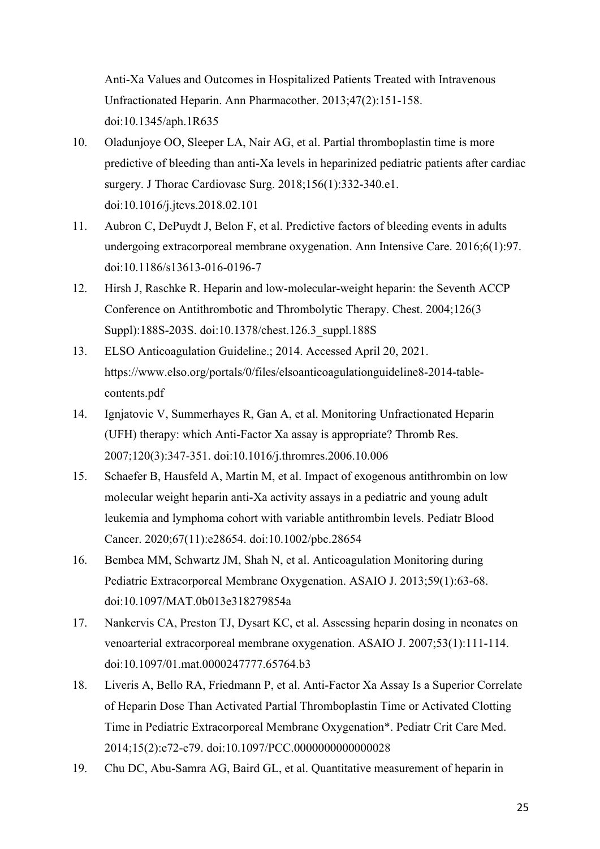Anti-Xa Values and Outcomes in Hospitalized Patients Treated with Intravenous Unfractionated Heparin. Ann Pharmacother. 2013;47(2):151-158. doi:10.1345/aph.1R635

- 10. Oladunjoye OO, Sleeper LA, Nair AG, et al. Partial thromboplastin time is more predictive of bleeding than anti-Xa levels in heparinized pediatric patients after cardiac surgery. J Thorac Cardiovasc Surg. 2018;156(1):332-340.e1. doi:10.1016/j.jtcvs.2018.02.101
- 11. Aubron C, DePuydt J, Belon F, et al. Predictive factors of bleeding events in adults undergoing extracorporeal membrane oxygenation. Ann Intensive Care. 2016;6(1):97. doi:10.1186/s13613-016-0196-7
- 12. Hirsh J, Raschke R. Heparin and low-molecular-weight heparin: the Seventh ACCP Conference on Antithrombotic and Thrombolytic Therapy. Chest. 2004;126(3 Suppl):188S-203S. doi:10.1378/chest.126.3\_suppl.188S
- 13. ELSO Anticoagulation Guideline.; 2014. Accessed April 20, 2021. https://www.elso.org/portals/0/files/elsoanticoagulationguideline8-2014-tablecontents.pdf
- 14. Ignjatovic V, Summerhayes R, Gan A, et al. Monitoring Unfractionated Heparin (UFH) therapy: which Anti-Factor Xa assay is appropriate? Thromb Res. 2007;120(3):347-351. doi:10.1016/j.thromres.2006.10.006
- 15. Schaefer B, Hausfeld A, Martin M, et al. Impact of exogenous antithrombin on low molecular weight heparin anti-Xa activity assays in a pediatric and young adult leukemia and lymphoma cohort with variable antithrombin levels. Pediatr Blood Cancer. 2020;67(11):e28654. doi:10.1002/pbc.28654
- 16. Bembea MM, Schwartz JM, Shah N, et al. Anticoagulation Monitoring during Pediatric Extracorporeal Membrane Oxygenation. ASAIO J. 2013;59(1):63-68. doi:10.1097/MAT.0b013e318279854a
- 17. Nankervis CA, Preston TJ, Dysart KC, et al. Assessing heparin dosing in neonates on venoarterial extracorporeal membrane oxygenation. ASAIO J. 2007;53(1):111-114. doi:10.1097/01.mat.0000247777.65764.b3
- 18. Liveris A, Bello RA, Friedmann P, et al. Anti-Factor Xa Assay Is a Superior Correlate of Heparin Dose Than Activated Partial Thromboplastin Time or Activated Clotting Time in Pediatric Extracorporeal Membrane Oxygenation\*. Pediatr Crit Care Med. 2014;15(2):e72-e79. doi:10.1097/PCC.0000000000000028
- 19. Chu DC, Abu-Samra AG, Baird GL, et al. Quantitative measurement of heparin in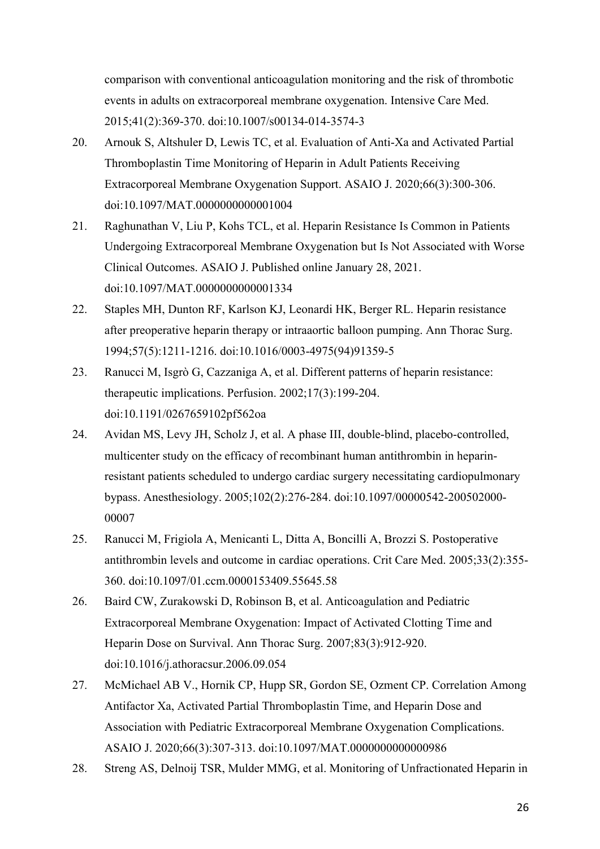comparison with conventional anticoagulation monitoring and the risk of thrombotic events in adults on extracorporeal membrane oxygenation. Intensive Care Med. 2015;41(2):369-370. doi:10.1007/s00134-014-3574-3

- 20. Arnouk S, Altshuler D, Lewis TC, et al. Evaluation of Anti-Xa and Activated Partial Thromboplastin Time Monitoring of Heparin in Adult Patients Receiving Extracorporeal Membrane Oxygenation Support. ASAIO J. 2020;66(3):300-306. doi:10.1097/MAT.0000000000001004
- 21. Raghunathan V, Liu P, Kohs TCL, et al. Heparin Resistance Is Common in Patients Undergoing Extracorporeal Membrane Oxygenation but Is Not Associated with Worse Clinical Outcomes. ASAIO J. Published online January 28, 2021. doi:10.1097/MAT.0000000000001334
- 22. Staples MH, Dunton RF, Karlson KJ, Leonardi HK, Berger RL. Heparin resistance after preoperative heparin therapy or intraaortic balloon pumping. Ann Thorac Surg. 1994;57(5):1211-1216. doi:10.1016/0003-4975(94)91359-5
- 23. Ranucci M, Isgrò G, Cazzaniga A, et al. Different patterns of heparin resistance: therapeutic implications. Perfusion. 2002;17(3):199-204. doi:10.1191/0267659102pf562oa
- 24. Avidan MS, Levy JH, Scholz J, et al. A phase III, double-blind, placebo-controlled, multicenter study on the efficacy of recombinant human antithrombin in heparinresistant patients scheduled to undergo cardiac surgery necessitating cardiopulmonary bypass. Anesthesiology. 2005;102(2):276-284. doi:10.1097/00000542-200502000- 00007
- 25. Ranucci M, Frigiola A, Menicanti L, Ditta A, Boncilli A, Brozzi S. Postoperative antithrombin levels and outcome in cardiac operations. Crit Care Med. 2005;33(2):355- 360. doi:10.1097/01.ccm.0000153409.55645.58
- 26. Baird CW, Zurakowski D, Robinson B, et al. Anticoagulation and Pediatric Extracorporeal Membrane Oxygenation: Impact of Activated Clotting Time and Heparin Dose on Survival. Ann Thorac Surg. 2007;83(3):912-920. doi:10.1016/j.athoracsur.2006.09.054
- 27. McMichael AB V., Hornik CP, Hupp SR, Gordon SE, Ozment CP. Correlation Among Antifactor Xa, Activated Partial Thromboplastin Time, and Heparin Dose and Association with Pediatric Extracorporeal Membrane Oxygenation Complications. ASAIO J. 2020;66(3):307-313. doi:10.1097/MAT.0000000000000986
- 28. Streng AS, Delnoij TSR, Mulder MMG, et al. Monitoring of Unfractionated Heparin in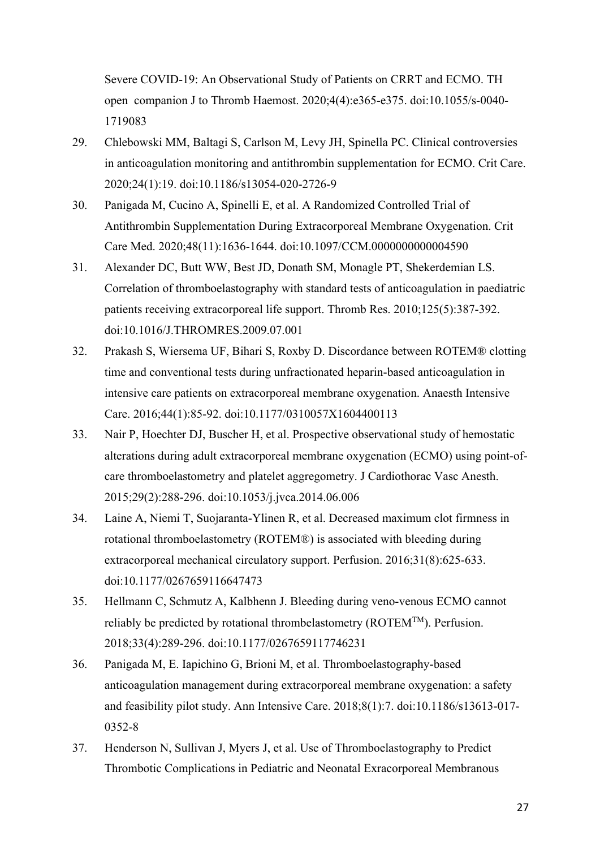Severe COVID-19: An Observational Study of Patients on CRRT and ECMO. TH open companion J to Thromb Haemost. 2020;4(4):e365-e375. doi:10.1055/s-0040- 1719083

- 29. Chlebowski MM, Baltagi S, Carlson M, Levy JH, Spinella PC. Clinical controversies in anticoagulation monitoring and antithrombin supplementation for ECMO. Crit Care. 2020;24(1):19. doi:10.1186/s13054-020-2726-9
- 30. Panigada M, Cucino A, Spinelli E, et al. A Randomized Controlled Trial of Antithrombin Supplementation During Extracorporeal Membrane Oxygenation. Crit Care Med. 2020;48(11):1636-1644. doi:10.1097/CCM.0000000000004590
- 31. Alexander DC, Butt WW, Best JD, Donath SM, Monagle PT, Shekerdemian LS. Correlation of thromboelastography with standard tests of anticoagulation in paediatric patients receiving extracorporeal life support. Thromb Res. 2010;125(5):387-392. doi:10.1016/J.THROMRES.2009.07.001
- 32. Prakash S, Wiersema UF, Bihari S, Roxby D. Discordance between ROTEM® clotting time and conventional tests during unfractionated heparin-based anticoagulation in intensive care patients on extracorporeal membrane oxygenation. Anaesth Intensive Care. 2016;44(1):85-92. doi:10.1177/0310057X1604400113
- 33. Nair P, Hoechter DJ, Buscher H, et al. Prospective observational study of hemostatic alterations during adult extracorporeal membrane oxygenation (ECMO) using point-ofcare thromboelastometry and platelet aggregometry. J Cardiothorac Vasc Anesth. 2015;29(2):288-296. doi:10.1053/j.jvca.2014.06.006
- 34. Laine A, Niemi T, Suojaranta-Ylinen R, et al. Decreased maximum clot firmness in rotational thromboelastometry (ROTEM®) is associated with bleeding during extracorporeal mechanical circulatory support. Perfusion. 2016;31(8):625-633. doi:10.1177/0267659116647473
- 35. Hellmann C, Schmutz A, Kalbhenn J. Bleeding during veno-venous ECMO cannot reliably be predicted by rotational thrombelastometry (ROTEMTM). Perfusion. 2018;33(4):289-296. doi:10.1177/0267659117746231
- 36. Panigada M, E. Iapichino G, Brioni M, et al. Thromboelastography-based anticoagulation management during extracorporeal membrane oxygenation: a safety and feasibility pilot study. Ann Intensive Care. 2018;8(1):7. doi:10.1186/s13613-017- 0352-8
- 37. Henderson N, Sullivan J, Myers J, et al. Use of Thromboelastography to Predict Thrombotic Complications in Pediatric and Neonatal Exracorporeal Membranous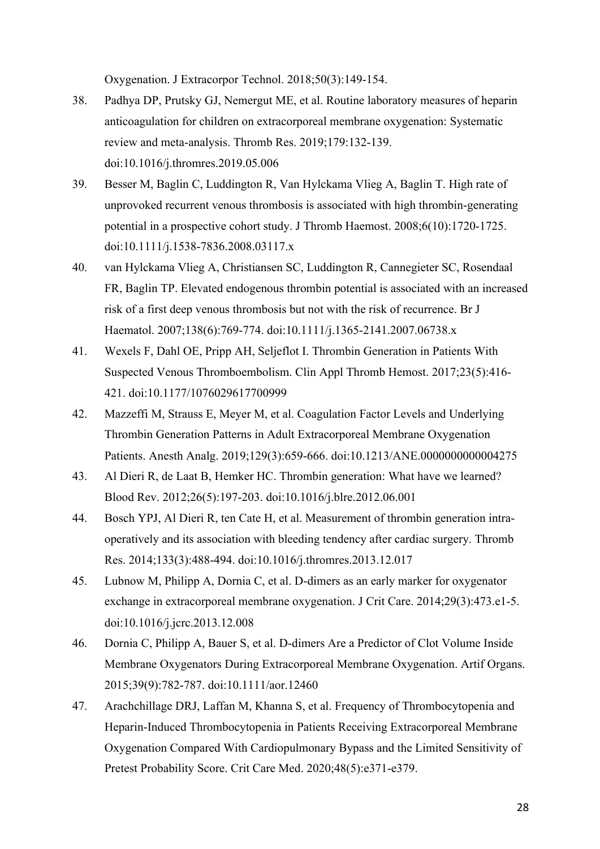Oxygenation. J Extracorpor Technol. 2018;50(3):149-154.

- 38. Padhya DP, Prutsky GJ, Nemergut ME, et al. Routine laboratory measures of heparin anticoagulation for children on extracorporeal membrane oxygenation: Systematic review and meta-analysis. Thromb Res. 2019;179:132-139. doi:10.1016/j.thromres.2019.05.006
- 39. Besser M, Baglin C, Luddington R, Van Hylckama Vlieg A, Baglin T. High rate of unprovoked recurrent venous thrombosis is associated with high thrombin-generating potential in a prospective cohort study. J Thromb Haemost. 2008;6(10):1720-1725. doi:10.1111/j.1538-7836.2008.03117.x
- 40. van Hylckama Vlieg A, Christiansen SC, Luddington R, Cannegieter SC, Rosendaal FR, Baglin TP. Elevated endogenous thrombin potential is associated with an increased risk of a first deep venous thrombosis but not with the risk of recurrence. Br J Haematol. 2007;138(6):769-774. doi:10.1111/j.1365-2141.2007.06738.x
- 41. Wexels F, Dahl OE, Pripp AH, Seljeflot I. Thrombin Generation in Patients With Suspected Venous Thromboembolism. Clin Appl Thromb Hemost. 2017;23(5):416- 421. doi:10.1177/1076029617700999
- 42. Mazzeffi M, Strauss E, Meyer M, et al. Coagulation Factor Levels and Underlying Thrombin Generation Patterns in Adult Extracorporeal Membrane Oxygenation Patients. Anesth Analg. 2019;129(3):659-666. doi:10.1213/ANE.0000000000004275
- 43. Al Dieri R, de Laat B, Hemker HC. Thrombin generation: What have we learned? Blood Rev. 2012;26(5):197-203. doi:10.1016/j.blre.2012.06.001
- 44. Bosch YPJ, Al Dieri R, ten Cate H, et al. Measurement of thrombin generation intraoperatively and its association with bleeding tendency after cardiac surgery. Thromb Res. 2014;133(3):488-494. doi:10.1016/j.thromres.2013.12.017
- 45. Lubnow M, Philipp A, Dornia C, et al. D-dimers as an early marker for oxygenator exchange in extracorporeal membrane oxygenation. J Crit Care. 2014;29(3):473.e1-5. doi:10.1016/j.jcrc.2013.12.008
- 46. Dornia C, Philipp A, Bauer S, et al. D-dimers Are a Predictor of Clot Volume Inside Membrane Oxygenators During Extracorporeal Membrane Oxygenation. Artif Organs. 2015;39(9):782-787. doi:10.1111/aor.12460
- 47. Arachchillage DRJ, Laffan M, Khanna S, et al. Frequency of Thrombocytopenia and Heparin-Induced Thrombocytopenia in Patients Receiving Extracorporeal Membrane Oxygenation Compared With Cardiopulmonary Bypass and the Limited Sensitivity of Pretest Probability Score. Crit Care Med. 2020;48(5):e371-e379.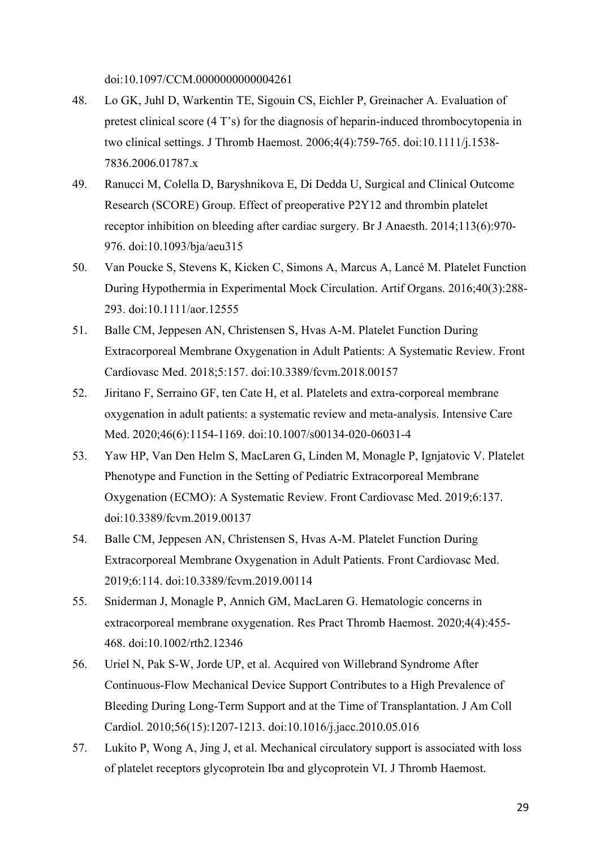doi:10.1097/CCM.0000000000004261

- 48. Lo GK, Juhl D, Warkentin TE, Sigouin CS, Eichler P, Greinacher A. Evaluation of pretest clinical score (4 T's) for the diagnosis of heparin-induced thrombocytopenia in two clinical settings. J Thromb Haemost. 2006;4(4):759-765. doi:10.1111/j.1538- 7836.2006.01787.x
- 49. Ranucci M, Colella D, Baryshnikova E, Di Dedda U, Surgical and Clinical Outcome Research (SCORE) Group. Effect of preoperative P2Y12 and thrombin platelet receptor inhibition on bleeding after cardiac surgery. Br J Anaesth. 2014;113(6):970- 976. doi:10.1093/bja/aeu315
- 50. Van Poucke S, Stevens K, Kicken C, Simons A, Marcus A, Lancé M. Platelet Function During Hypothermia in Experimental Mock Circulation. Artif Organs. 2016;40(3):288- 293. doi:10.1111/aor.12555
- 51. Balle CM, Jeppesen AN, Christensen S, Hvas A-M. Platelet Function During Extracorporeal Membrane Oxygenation in Adult Patients: A Systematic Review. Front Cardiovasc Med. 2018;5:157. doi:10.3389/fcvm.2018.00157
- 52. Jiritano F, Serraino GF, ten Cate H, et al. Platelets and extra-corporeal membrane oxygenation in adult patients: a systematic review and meta-analysis. Intensive Care Med. 2020;46(6):1154-1169. doi:10.1007/s00134-020-06031-4
- 53. Yaw HP, Van Den Helm S, MacLaren G, Linden M, Monagle P, Ignjatovic V. Platelet Phenotype and Function in the Setting of Pediatric Extracorporeal Membrane Oxygenation (ECMO): A Systematic Review. Front Cardiovasc Med. 2019;6:137. doi:10.3389/fcvm.2019.00137
- 54. Balle CM, Jeppesen AN, Christensen S, Hvas A-M. Platelet Function During Extracorporeal Membrane Oxygenation in Adult Patients. Front Cardiovasc Med. 2019;6:114. doi:10.3389/fcvm.2019.00114
- 55. Sniderman J, Monagle P, Annich GM, MacLaren G. Hematologic concerns in extracorporeal membrane oxygenation. Res Pract Thromb Haemost. 2020;4(4):455- 468. doi:10.1002/rth2.12346
- 56. Uriel N, Pak S-W, Jorde UP, et al. Acquired von Willebrand Syndrome After Continuous-Flow Mechanical Device Support Contributes to a High Prevalence of Bleeding During Long-Term Support and at the Time of Transplantation. J Am Coll Cardiol. 2010;56(15):1207-1213. doi:10.1016/j.jacc.2010.05.016
- 57. Lukito P, Wong A, Jing J, et al. Mechanical circulatory support is associated with loss of platelet receptors glycoprotein Ibα and glycoprotein VI. J Thromb Haemost.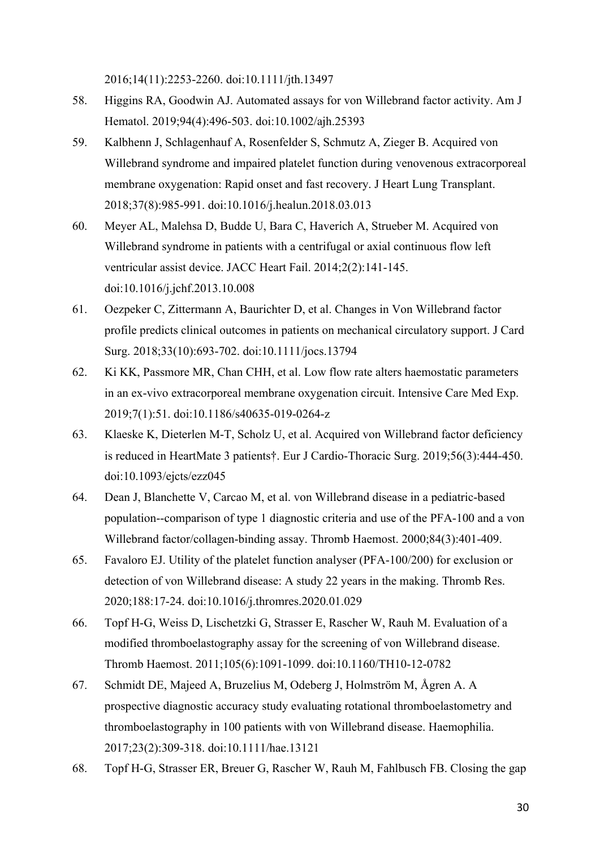2016;14(11):2253-2260. doi:10.1111/jth.13497

- 58. Higgins RA, Goodwin AJ. Automated assays for von Willebrand factor activity. Am J Hematol. 2019;94(4):496-503. doi:10.1002/ajh.25393
- 59. Kalbhenn J, Schlagenhauf A, Rosenfelder S, Schmutz A, Zieger B. Acquired von Willebrand syndrome and impaired platelet function during venovenous extracorporeal membrane oxygenation: Rapid onset and fast recovery. J Heart Lung Transplant. 2018;37(8):985-991. doi:10.1016/j.healun.2018.03.013
- 60. Meyer AL, Malehsa D, Budde U, Bara C, Haverich A, Strueber M. Acquired von Willebrand syndrome in patients with a centrifugal or axial continuous flow left ventricular assist device. JACC Heart Fail. 2014;2(2):141-145. doi:10.1016/j.jchf.2013.10.008
- 61. Oezpeker C, Zittermann A, Baurichter D, et al. Changes in Von Willebrand factor profile predicts clinical outcomes in patients on mechanical circulatory support. J Card Surg. 2018;33(10):693-702. doi:10.1111/jocs.13794
- 62. Ki KK, Passmore MR, Chan CHH, et al. Low flow rate alters haemostatic parameters in an ex-vivo extracorporeal membrane oxygenation circuit. Intensive Care Med Exp. 2019;7(1):51. doi:10.1186/s40635-019-0264-z
- 63. Klaeske K, Dieterlen M-T, Scholz U, et al. Acquired von Willebrand factor deficiency is reduced in HeartMate 3 patients†. Eur J Cardio-Thoracic Surg. 2019;56(3):444-450. doi:10.1093/ejcts/ezz045
- 64. Dean J, Blanchette V, Carcao M, et al. von Willebrand disease in a pediatric-based population--comparison of type 1 diagnostic criteria and use of the PFA-100 and a von Willebrand factor/collagen-binding assay. Thromb Haemost. 2000;84(3):401-409.
- 65. Favaloro EJ. Utility of the platelet function analyser (PFA-100/200) for exclusion or detection of von Willebrand disease: A study 22 years in the making. Thromb Res. 2020;188:17-24. doi:10.1016/j.thromres.2020.01.029
- 66. Topf H-G, Weiss D, Lischetzki G, Strasser E, Rascher W, Rauh M. Evaluation of a modified thromboelastography assay for the screening of von Willebrand disease. Thromb Haemost. 2011;105(6):1091-1099. doi:10.1160/TH10-12-0782
- 67. Schmidt DE, Majeed A, Bruzelius M, Odeberg J, Holmström M, Ågren A. A prospective diagnostic accuracy study evaluating rotational thromboelastometry and thromboelastography in 100 patients with von Willebrand disease. Haemophilia. 2017;23(2):309-318. doi:10.1111/hae.13121
- 68. Topf H-G, Strasser ER, Breuer G, Rascher W, Rauh M, Fahlbusch FB. Closing the gap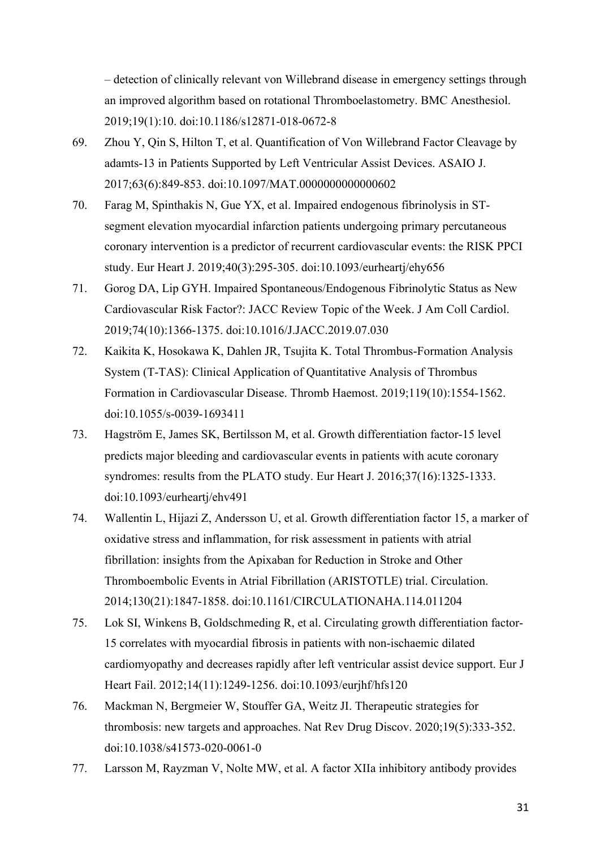– detection of clinically relevant von Willebrand disease in emergency settings through an improved algorithm based on rotational Thromboelastometry. BMC Anesthesiol. 2019;19(1):10. doi:10.1186/s12871-018-0672-8

- 69. Zhou Y, Qin S, Hilton T, et al. Quantification of Von Willebrand Factor Cleavage by adamts-13 in Patients Supported by Left Ventricular Assist Devices. ASAIO J. 2017;63(6):849-853. doi:10.1097/MAT.0000000000000602
- 70. Farag M, Spinthakis N, Gue YX, et al. Impaired endogenous fibrinolysis in STsegment elevation myocardial infarction patients undergoing primary percutaneous coronary intervention is a predictor of recurrent cardiovascular events: the RISK PPCI study. Eur Heart J. 2019;40(3):295-305. doi:10.1093/eurheartj/ehy656
- 71. Gorog DA, Lip GYH. Impaired Spontaneous/Endogenous Fibrinolytic Status as New Cardiovascular Risk Factor?: JACC Review Topic of the Week. J Am Coll Cardiol. 2019;74(10):1366-1375. doi:10.1016/J.JACC.2019.07.030
- 72. Kaikita K, Hosokawa K, Dahlen JR, Tsujita K. Total Thrombus-Formation Analysis System (T-TAS): Clinical Application of Quantitative Analysis of Thrombus Formation in Cardiovascular Disease. Thromb Haemost. 2019;119(10):1554-1562. doi:10.1055/s-0039-1693411
- 73. Hagström E, James SK, Bertilsson M, et al. Growth differentiation factor-15 level predicts major bleeding and cardiovascular events in patients with acute coronary syndromes: results from the PLATO study. Eur Heart J. 2016;37(16):1325-1333. doi:10.1093/eurheartj/ehv491
- 74. Wallentin L, Hijazi Z, Andersson U, et al. Growth differentiation factor 15, a marker of oxidative stress and inflammation, for risk assessment in patients with atrial fibrillation: insights from the Apixaban for Reduction in Stroke and Other Thromboembolic Events in Atrial Fibrillation (ARISTOTLE) trial. Circulation. 2014;130(21):1847-1858. doi:10.1161/CIRCULATIONAHA.114.011204
- 75. Lok SI, Winkens B, Goldschmeding R, et al. Circulating growth differentiation factor-15 correlates with myocardial fibrosis in patients with non-ischaemic dilated cardiomyopathy and decreases rapidly after left ventricular assist device support. Eur J Heart Fail. 2012;14(11):1249-1256. doi:10.1093/eurjhf/hfs120
- 76. Mackman N, Bergmeier W, Stouffer GA, Weitz JI. Therapeutic strategies for thrombosis: new targets and approaches. Nat Rev Drug Discov. 2020;19(5):333-352. doi:10.1038/s41573-020-0061-0
- 77. Larsson M, Rayzman V, Nolte MW, et al. A factor XIIa inhibitory antibody provides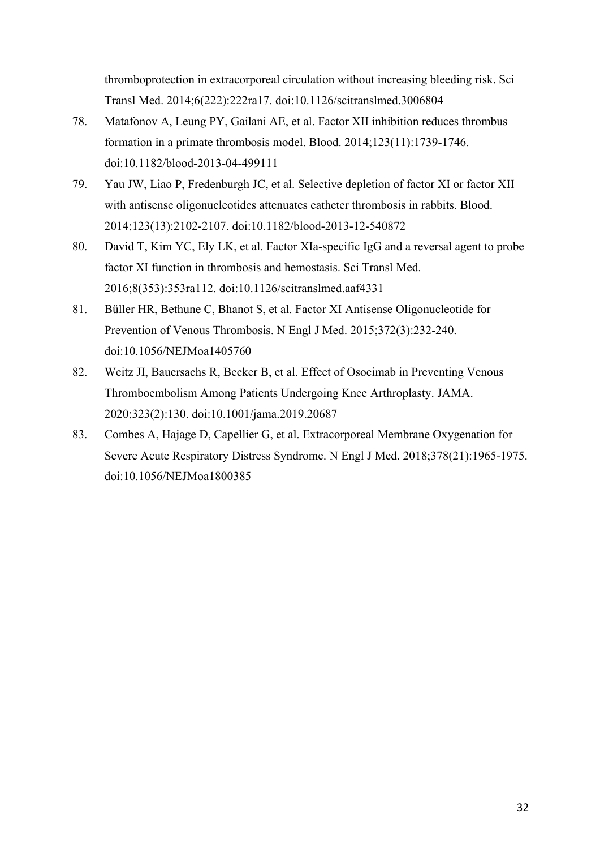thromboprotection in extracorporeal circulation without increasing bleeding risk. Sci Transl Med. 2014;6(222):222ra17. doi:10.1126/scitranslmed.3006804

- 78. Matafonov A, Leung PY, Gailani AE, et al. Factor XII inhibition reduces thrombus formation in a primate thrombosis model. Blood. 2014;123(11):1739-1746. doi:10.1182/blood-2013-04-499111
- 79. Yau JW, Liao P, Fredenburgh JC, et al. Selective depletion of factor XI or factor XII with antisense oligonucleotides attenuates catheter thrombosis in rabbits. Blood. 2014;123(13):2102-2107. doi:10.1182/blood-2013-12-540872
- 80. David T, Kim YC, Ely LK, et al. Factor XIa-specific IgG and a reversal agent to probe factor XI function in thrombosis and hemostasis. Sci Transl Med. 2016;8(353):353ra112. doi:10.1126/scitranslmed.aaf4331
- 81. Büller HR, Bethune C, Bhanot S, et al. Factor XI Antisense Oligonucleotide for Prevention of Venous Thrombosis. N Engl J Med. 2015;372(3):232-240. doi:10.1056/NEJMoa1405760
- 82. Weitz JI, Bauersachs R, Becker B, et al. Effect of Osocimab in Preventing Venous Thromboembolism Among Patients Undergoing Knee Arthroplasty. JAMA. 2020;323(2):130. doi:10.1001/jama.2019.20687
- 83. Combes A, Hajage D, Capellier G, et al. Extracorporeal Membrane Oxygenation for Severe Acute Respiratory Distress Syndrome. N Engl J Med. 2018;378(21):1965-1975. doi:10.1056/NEJMoa1800385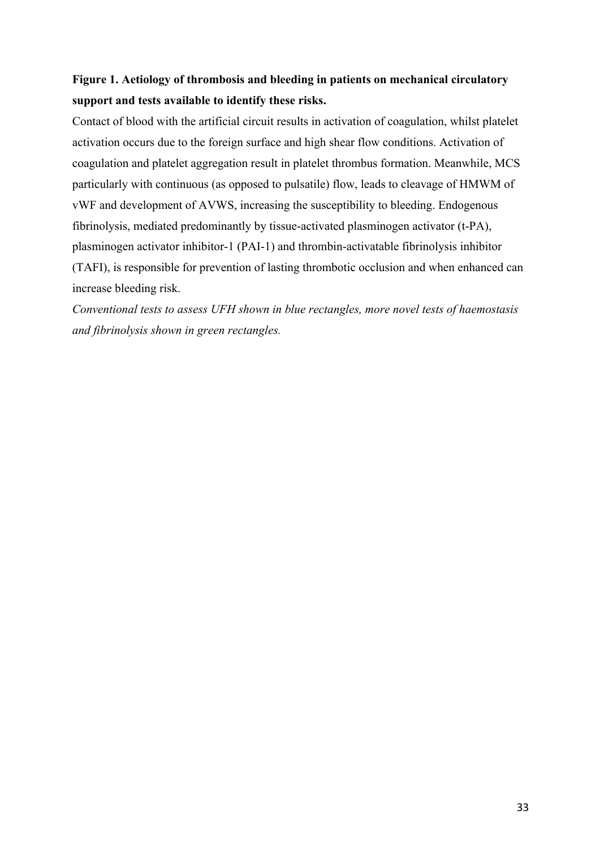# **Figure 1. Aetiology of thrombosis and bleeding in patients on mechanical circulatory support and tests available to identify these risks.**

Contact of blood with the artificial circuit results in activation of coagulation, whilst platelet activation occurs due to the foreign surface and high shear flow conditions. Activation of coagulation and platelet aggregation result in platelet thrombus formation. Meanwhile, MCS particularly with continuous (as opposed to pulsatile) flow, leads to cleavage of HMWM of vWF and development of AVWS, increasing the susceptibility to bleeding. Endogenous fibrinolysis, mediated predominantly by tissue-activated plasminogen activator (t-PA), plasminogen activator inhibitor-1 (PAI-1) and thrombin-activatable fibrinolysis inhibitor (TAFI), is responsible for prevention of lasting thrombotic occlusion and when enhanced can increase bleeding risk.

*Conventional tests to assess UFH shown in blue rectangles, more novel tests of haemostasis and fibrinolysis shown in green rectangles.*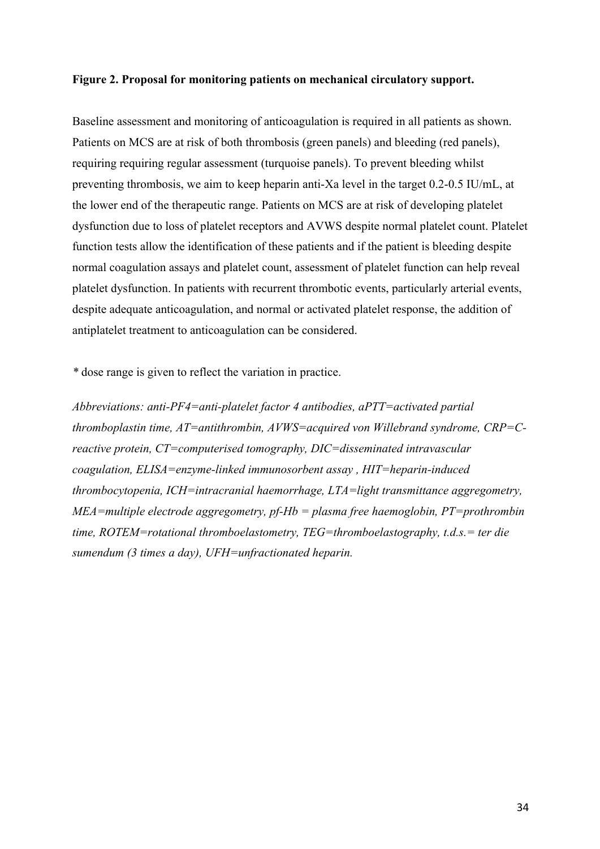#### **Figure 2. Proposal for monitoring patients on mechanical circulatory support.**

Baseline assessment and monitoring of anticoagulation is required in all patients as shown. Patients on MCS are at risk of both thrombosis (green panels) and bleeding (red panels), requiring requiring regular assessment (turquoise panels). To prevent bleeding whilst preventing thrombosis, we aim to keep heparin anti-Xa level in the target 0.2-0.5 IU/mL, at the lower end of the therapeutic range. Patients on MCS are at risk of developing platelet dysfunction due to loss of platelet receptors and AVWS despite normal platelet count. Platelet function tests allow the identification of these patients and if the patient is bleeding despite normal coagulation assays and platelet count, assessment of platelet function can help reveal platelet dysfunction. In patients with recurrent thrombotic events, particularly arterial events, despite adequate anticoagulation, and normal or activated platelet response, the addition of antiplatelet treatment to anticoagulation can be considered.

*\** dose range is given to reflect the variation in practice.

*Abbreviations: anti-PF4=anti-platelet factor 4 antibodies, aPTT=activated partial thromboplastin time, AT=antithrombin, AVWS=acquired von Willebrand syndrome, CRP=Creactive protein, CT=computerised tomography, DIC=disseminated intravascular coagulation, ELISA=enzyme-linked immunosorbent assay , HIT=heparin-induced thrombocytopenia, ICH=intracranial haemorrhage, LTA=light transmittance aggregometry, MEA=multiple electrode aggregometry, pf-Hb = plasma free haemoglobin, PT=prothrombin time, ROTEM=rotational thromboelastometry, TEG=thromboelastography, t.d.s.= ter die sumendum (3 times a day), UFH=unfractionated heparin.*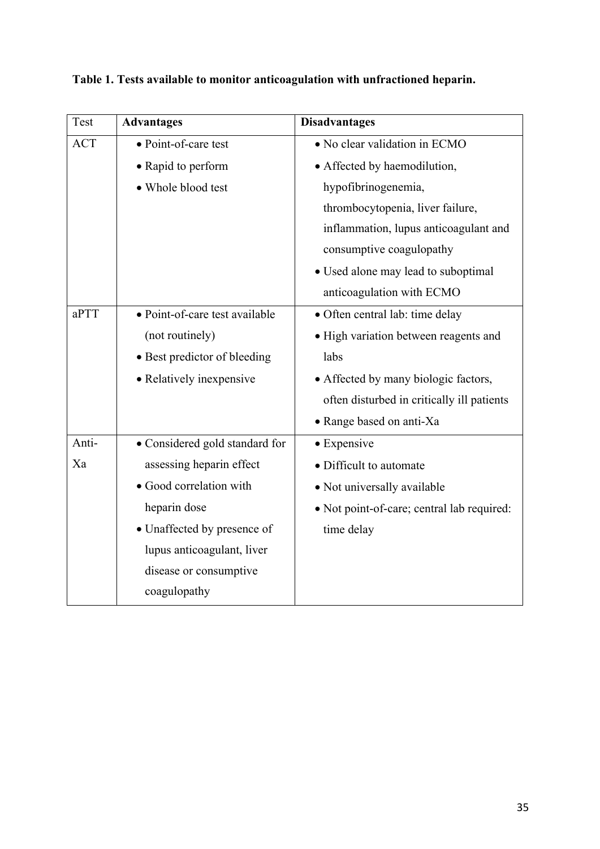| Test       | <b>Advantages</b>              | <b>Disadvantages</b>                       |
|------------|--------------------------------|--------------------------------------------|
| <b>ACT</b> | • Point-of-care test           | • No clear validation in ECMO              |
|            | • Rapid to perform             | • Affected by haemodilution,               |
|            | • Whole blood test             | hypofibrinogenemia,                        |
|            |                                | thrombocytopenia, liver failure,           |
|            |                                | inflammation, lupus anticoagulant and      |
|            |                                | consumptive coagulopathy                   |
|            |                                | • Used alone may lead to suboptimal        |
|            |                                | anticoagulation with ECMO                  |
| aPTT       | • Point-of-care test available | · Often central lab: time delay            |
|            | (not routinely)                | • High variation between reagents and      |
|            | • Best predictor of bleeding   | labs                                       |
|            | • Relatively inexpensive       | • Affected by many biologic factors,       |
|            |                                | often disturbed in critically ill patients |
|            |                                | • Range based on anti-Xa                   |
| Anti-      | • Considered gold standard for | • Expensive                                |
| Xa         | assessing heparin effect       | • Difficult to automate                    |
|            | · Good correlation with        | • Not universally available                |
|            | heparin dose                   | • Not point-of-care; central lab required: |
|            | · Unaffected by presence of    | time delay                                 |
|            | lupus anticoagulant, liver     |                                            |
|            | disease or consumptive         |                                            |
|            | coagulopathy                   |                                            |

**Table 1. Tests available to monitor anticoagulation with unfractioned heparin.**